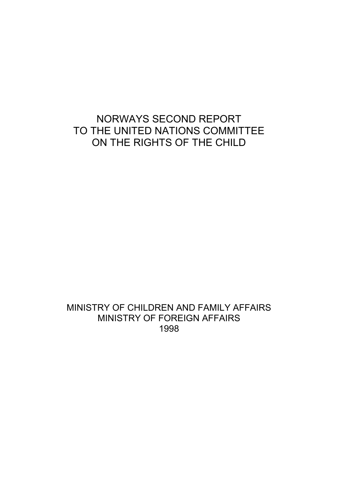# NORWAYS SECOND REPORT TO THE UNITED NATIONS COMMITTEE ON THE RIGHTS OF THE CHILD

# MINISTRY OF CHILDREN AND FAMILY AFFAIRS MINISTRY OF FOREIGN AFFAIRS 1998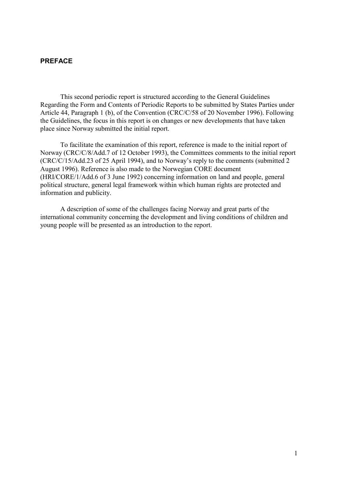### **PREFACE**

This second periodic report is structured according to the General Guidelines Regarding the Form and Contents of Periodic Reports to be submitted by States Parties under Article 44, Paragraph 1 (b), of the Convention (CRC/C/58 of 20 November 1996). Following the Guidelines, the focus in this report is on changes or new developments that have taken place since Norway submitted the initial report.

To facilitate the examination of this report, reference is made to the initial report of Norway (CRC/C/8/Add.7 of 12 October 1993), the Committees comments to the initial report (CRC/C/15/Add.23 of 25 April 1994), and to Norway's reply to the comments (submitted 2 August 1996). Reference is also made to the Norwegian CORE document (HRI/CORE/1/Add.6 of 3 June 1992) concerning information on land and people, general political structure, general legal framework within which human rights are protected and information and publicity.

A description of some of the challenges facing Norway and great parts of the international community concerning the development and living conditions of children and young people will be presented as an introduction to the report.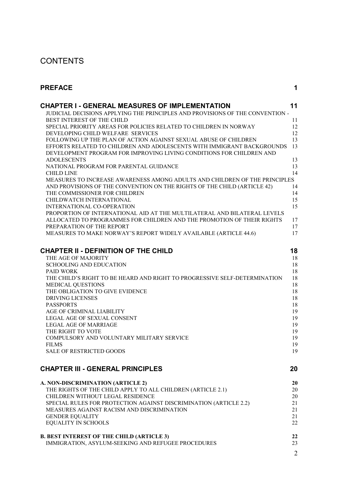# **CONTENTS**

| PREFACE                                                                                                                                        | 1              |
|------------------------------------------------------------------------------------------------------------------------------------------------|----------------|
| <b>CHAPTER I - GENERAL MEASURES OF IMPLEMENTATION</b>                                                                                          | 11             |
| JUDICIAL DECISIONS APPLYING THE PRINCIPLES AND PROVISIONS OF THE CONVENTION -                                                                  |                |
| BEST INTEREST OF THE CHILD                                                                                                                     | 11             |
| SPECIAL PRIORITY AREAS FOR POLICIES RELATED TO CHILDREN IN NORWAY                                                                              | 12             |
| DEVELOPING CHILD WELFARE SERVICES                                                                                                              | 12             |
| FOLLOWING UP THE PLAN OF ACTION AGAINST SEXUAL ABUSE OF CHILDREN                                                                               | 13             |
| EFFORTS RELATED TO CHILDREN AND ADOLESCENTS WITH IMMIGRANT BACKGROUNDS<br>DEVELOPMENT PROGRAM FOR IMPROVING LIVING CONDITIONS FOR CHILDREN AND | 13             |
| <b>ADOLESCENTS</b>                                                                                                                             | 13             |
| NATIONAL PROGRAM FOR PARENTAL GUIDANCE                                                                                                         | 13             |
| <b>CHILD LINE</b>                                                                                                                              | 14             |
| MEASURES TO INCREASE AWARENESS AMONG ADULTS AND CHILDREN OF THE PRINCIPLES                                                                     |                |
| AND PROVISIONS OF THE CONVENTION ON THE RIGHTS OF THE CHILD (ARTICLE 42)                                                                       | 14             |
| THE COMMISSIONER FOR CHILDREN                                                                                                                  | 14             |
| CHILDWATCH INTERNATIONAL                                                                                                                       | 15             |
| INTERNATIONAL CO-OPERATION                                                                                                                     | 15             |
| PROPORTION OF INTERNATIONAL AID AT THE MULTILATERAL AND BILATERAL LEVELS                                                                       |                |
| ALLOCATED TO PROGRAMMES FOR CHILDREN AND THE PROMOTION OF THEIR RIGHTS                                                                         | 17             |
| PREPARATION OF THE REPORT                                                                                                                      | 17             |
| MEASURES TO MAKE NORWAY'S REPORT WIDELY AVAILABLE (ARTICLE 44.6)                                                                               | 17             |
| <b>CHAPTER II - DEFINITION OF THE CHILD</b>                                                                                                    | 18             |
| THE AGE OF MAJORITY                                                                                                                            | 18             |
| <b>SCHOOLING AND EDUCATION</b>                                                                                                                 | 18             |
| <b>PAID WORK</b>                                                                                                                               | 18             |
| THE CHILD'S RIGHT TO BE HEARD AND RIGHT TO PROGRESSIVE SELF-DETERMINATION                                                                      | 18             |
| <b>MEDICAL QUESTIONS</b>                                                                                                                       | 18             |
| THE OBLIGATION TO GIVE EVIDENCE                                                                                                                | 18             |
| <b>DRIVING LICENSES</b>                                                                                                                        | 18             |
| <b>PASSPORTS</b>                                                                                                                               | 18             |
| AGE OF CRIMINAL LIABILITY                                                                                                                      | 19             |
| LEGAL AGE OF SEXUAL CONSENT                                                                                                                    | 19             |
| <b>LEGAL AGE OF MARRIAGE</b>                                                                                                                   | 19             |
| THE RIGHT TO VOTE                                                                                                                              | 19             |
| COMPULSORY AND VOLUNTARY MILITARY SERVICE                                                                                                      | 19             |
| <b>FILMS</b>                                                                                                                                   | 19             |
| <b>SALE OF RESTRICTED GOODS</b>                                                                                                                | 19             |
| <b>CHAPTER III - GENERAL PRINCIPLES</b>                                                                                                        | 20             |
| A. NON-DISCRIMINATION (ARTICLE 2)                                                                                                              | 20             |
| THE RIGHTS OF THE CHILD APPLY TO ALL CHILDREN (ARTICLE 2.1)                                                                                    | 20             |
| CHILDREN WITHOUT LEGAL RESIDENCE                                                                                                               | 20             |
| SPECIAL RULES FOR PROTECTION AGAINST DISCRIMINATION (ARTICLE 2.2)                                                                              | 21             |
| MEASURES AGAINST RACISM AND DISCRIMINATION                                                                                                     | 21             |
| <b>GENDER EQUALITY</b>                                                                                                                         | 21             |
| EQUALITY IN SCHOOLS                                                                                                                            | 22             |
| <b>B. BEST INTEREST OF THE CHILD (ARTICLE 3)</b>                                                                                               | 22             |
| IMMIGRATION, ASYLUM-SEEKING AND REFUGEE PROCEDURES                                                                                             | 23             |
|                                                                                                                                                | $\overline{2}$ |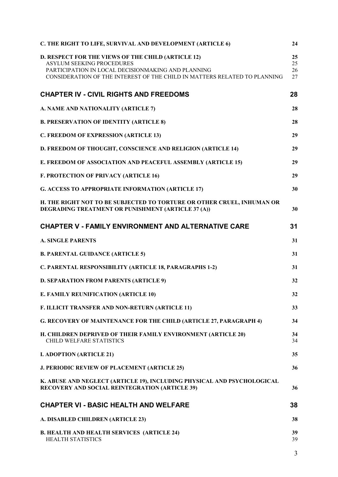| C. THE RIGHT TO LIFE, SURVIVAL AND DEVELOPMENT (ARTICLE 6)                                                                                                                                                                | 24                   |
|---------------------------------------------------------------------------------------------------------------------------------------------------------------------------------------------------------------------------|----------------------|
| D. RESPECT FOR THE VIEWS OF THE CHILD (ARTICLE 12)<br><b>ASYLUM SEEKING PROCEDURES</b><br>PARTICIPATION IN LOCAL DECISIONMAKING AND PLANNING<br>CONSIDERATION OF THE INTEREST OF THE CHILD IN MATTERS RELATED TO PLANNING | 25<br>25<br>26<br>27 |
| <b>CHAPTER IV - CIVIL RIGHTS AND FREEDOMS</b>                                                                                                                                                                             | 28                   |
| A. NAME AND NATIONALITY (ARTICLE 7)                                                                                                                                                                                       | 28                   |
| <b>B. PRESERVATION OF IDENTITY (ARTICLE 8)</b>                                                                                                                                                                            | 28                   |
| C. FREEDOM OF EXPRESSION (ARTICLE 13)                                                                                                                                                                                     | 29                   |
| D. FREEDOM OF THOUGHT, CONSCIENCE AND RELIGION (ARTICLE 14)                                                                                                                                                               | 29                   |
| E. FREEDOM OF ASSOCIATION AND PEACEFUL ASSEMBLY (ARTICLE 15)                                                                                                                                                              | 29                   |
| <b>F. PROTECTION OF PRIVACY (ARTICLE 16)</b>                                                                                                                                                                              | 29                   |
| <b>G. ACCESS TO APPROPRIATE INFORMATION (ARTICLE 17)</b>                                                                                                                                                                  | 30                   |
| H. THE RIGHT NOT TO BE SUBJECTED TO TORTURE OR OTHER CRUEL, INHUMAN OR<br>DEGRADING TREATMENT OR PUNISHMENT (ARTICLE 37 (A))                                                                                              | 30                   |
| <b>CHAPTER V - FAMILY ENVIRONMENT AND ALTERNATIVE CARE</b>                                                                                                                                                                | 31                   |
| <b>A. SINGLE PARENTS</b>                                                                                                                                                                                                  | 31                   |
| <b>B. PARENTAL GUIDANCE (ARTICLE 5)</b>                                                                                                                                                                                   | 31                   |
| C. PARENTAL RESPONSIBILITY (ARTICLE 18, PARAGRAPHS 1-2)                                                                                                                                                                   | 31                   |
| D. SEPARATION FROM PARENTS (ARTICLE 9)                                                                                                                                                                                    | 32                   |
| <b>E. FAMILY REUNIFICATION (ARTICLE 10)</b>                                                                                                                                                                               | 32                   |
| F. ILLICIT TRANSFER AND NON-RETURN (ARTICLE 11)                                                                                                                                                                           | 33                   |
| <b>G. RECOVERY OF MAINTENANCE FOR THE CHILD (ARTICLE 27, PARAGRAPH 4)</b>                                                                                                                                                 | 34                   |
| H. CHILDREN DEPRIVED OF THEIR FAMILY ENVIRONMENT (ARTICLE 20)<br>CHILD WELFARE STATISTICS                                                                                                                                 | 34<br>34             |
| <b>I. ADOPTION (ARTICLE 21)</b>                                                                                                                                                                                           | 35                   |
| <b>J. PERIODIC REVIEW OF PLACEMENT (ARTICLE 25)</b>                                                                                                                                                                       | 36                   |
| K. ABUSE AND NEGLECT (ARTICLE 19), INCLUDING PHYSICAL AND PSYCHOLOGICAL<br><b>RECOVERY AND SOCIAL REINTEGRATION (ARTICLE 39)</b>                                                                                          | 36                   |
| <b>CHAPTER VI - BASIC HEALTH AND WELFARE</b>                                                                                                                                                                              | 38                   |
| A. DISABLED CHILDREN (ARTICLE 23)                                                                                                                                                                                         | 38                   |
| <b>B. HEALTH AND HEALTH SERVICES (ARTICLE 24)</b><br><b>HEALTH STATISTICS</b>                                                                                                                                             | 39<br>39             |
|                                                                                                                                                                                                                           | 3                    |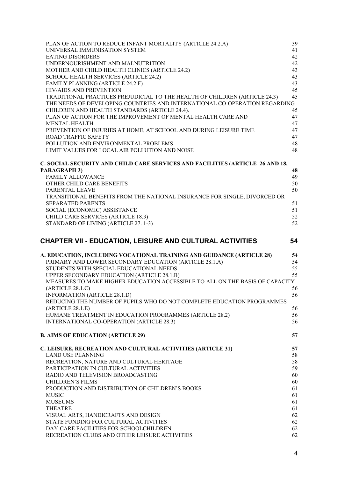| PLAN OF ACTION TO REDUCE INFANT MORTALITY (ARTICLE 24.2.A)                                             | 39       |
|--------------------------------------------------------------------------------------------------------|----------|
| UNIVERSAL IMMUNISATION SYSTEM                                                                          | 41       |
| <b>EATING DISORDERS</b>                                                                                | 42       |
| UNDERNOURISHMENT AND MALNUTRITION<br>MOTHER AND CHILD HEALTH CLINICS (ARTICLE 24.2)                    | 42<br>43 |
| SCHOOL HEALTH SERVICES (ARTICLE 24.2)                                                                  | 43       |
| FAMILY PLANNING (ARTICLE 24.2.F)                                                                       | 43       |
| HIV/AIDS AND PREVENTION                                                                                | 45       |
| TRADITIONAL PRACTICES PREJUDICIAL TO THE HEALTH OF CHILDREN (ARTICLE 24.3)                             | 45       |
| THE NEEDS OF DEVELOPING COUNTRIES AND INTERNATIONAL CO-OPERATION REGARDING                             |          |
| CHILDREN AND HEALTH STANDARDS (ARTICLE 24.4).                                                          | 45       |
| PLAN OF ACTION FOR THE IMPROVEMENT OF MENTAL HEALTH CARE AND                                           | 47       |
| <b>MENTAL HEALTH</b><br>PREVENTION OF INJURIES AT HOME, AT SCHOOL AND DURING LEISURE TIME              | 47<br>47 |
| <b>ROAD TRAFFIC SAFETY</b>                                                                             | 47       |
| POLLUTION AND ENVIRONMENTAL PROBLEMS                                                                   | 48       |
| LIMIT VALUES FOR LOCAL AIR POLLUTION AND NOISE                                                         | 48       |
| C. SOCIAL SECURITY AND CHILD CARE SERVICES AND FACILITIES (ARTICLE 26 AND 18,                          |          |
| <b>PARAGRAPH 3)</b>                                                                                    | 48       |
| <b>FAMILY ALLOWANCE</b>                                                                                | 49       |
| OTHER CHILD CARE BENEFITS                                                                              | 50       |
| PARENTAL LEAVE                                                                                         | 50       |
| TRANSITIONAL BENEFITS FROM THE NATIONAL INSURANCE FOR SINGLE, DIVORCED OR<br><b>SEPARATED PARENTS</b>  | 51       |
| SOCIAL (ECONOMIC) ASSISTANCE                                                                           | 51       |
| CHILD CARE SERVICES (ARTICLE 18.3)                                                                     | 52       |
| STANDARD OF LIVING (ARTICLE 27.1-3)                                                                    | 52       |
|                                                                                                        | 54       |
| <b>CHAPTER VII - EDUCATION, LEISURE AND CULTURAL ACTIVITIES</b>                                        |          |
|                                                                                                        |          |
| A. EDUCATION, INCLUDING VOCATIONAL TRAINING AND GUIDANCE (ARTICLE 28)                                  | 54       |
| PRIMARY AND LOWER SECONDARY EDUCATION (ARTICLE 28.1.A)                                                 | 54       |
| STUDENTS WITH SPECIAL EDUCATIONAL NEEDS                                                                | 55       |
| UPPER SECONDARY EDUCATION (ARTICLE 28.1.B)                                                             | 55       |
| MEASURES TO MAKE HIGHER EDUCATION ACCESSIBLE TO ALL ON THE BASIS OF CAPACITY                           |          |
| (ARTICLE 28.1.C)                                                                                       | 56<br>56 |
| INFORMATION (ARTICLE 28.1.D)<br>REDUCING THE NUMBER OF PUPILS WHO DO NOT COMPLETE EDUCATION PROGRAMMES |          |
| (ARTICLE 28.1.E)                                                                                       | 56       |
| HUMANE TREATMENT IN EDUCATION PROGRAMMES (ARTICLE 28.2)                                                | 56       |
| INTERNATIONAL CO-OPERATION (ARTICLE 28.3)                                                              | 56       |
| <b>B. AIMS OF EDUCATION (ARTICLE 29)</b>                                                               | 57       |
| C. LEISURE, RECREATION AND CULTURAL ACTIVITIES (ARTICLE 31)                                            | 57       |
| <b>LAND USE PLANNING</b>                                                                               | 58       |
| RECREATION, NATURE AND CULTURAL HERITAGE                                                               | 58       |
| PARTICIPATION IN CULTURAL ACTIVITIES                                                                   | 59       |
| RADIO AND TELEVISION BROADCASTING                                                                      | 60       |
| <b>CHILDREN'S FILMS</b>                                                                                | 60       |
| PRODUCTION AND DISTRIBUTION OF CHILDREN'S BOOKS                                                        | 61       |
| <b>MUSIC</b><br><b>MUSEUMS</b>                                                                         | 61<br>61 |
| <b>THEATRE</b>                                                                                         | 61       |
| VISUAL ARTS, HANDICRAFTS AND DESIGN                                                                    | 62       |
| STATE FUNDING FOR CULTURAL ACTIVITIES                                                                  | 62       |
| DAY-CARE FACILITIES FOR SCHOOLCHILDREN<br>RECREATION CLUBS AND OTHER LEISURE ACTIVITIES                | 62<br>62 |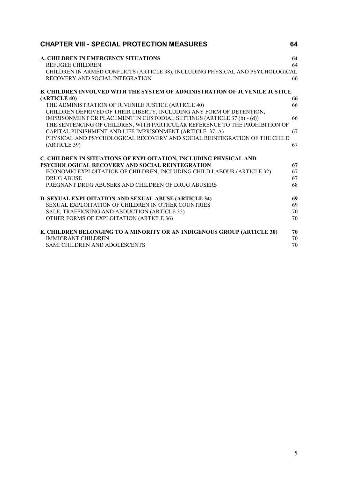| <b>CHAPTER VIII - SPECIAL PROTECTION MEASURES</b>                                                                 | 64 |
|-------------------------------------------------------------------------------------------------------------------|----|
| A. CHILDREN IN EMERGENCY SITUATIONS                                                                               | 64 |
| <b>REFUGEE CHILDREN</b>                                                                                           | 64 |
| CHILDREN IN ARMED CONFLICTS (ARTICLE 38), INCLUDING PHYSICAL AND PSYCHOLOGICAL<br>RECOVERY AND SOCIAL INTEGRATION | 66 |
| <b>B. CHILDREN INVOLVED WITH THE SYSTEM OF ADMINISTRATION OF JUVENILE JUSTICE</b>                                 |    |
| (ARTICLE 40)                                                                                                      | 66 |
| THE ADMINISTRATION OF JUVENILE JUSTICE (ARTICLE 40)                                                               | 66 |
| CHILDREN DEPRIVED OF THEIR LIBERTY, INCLUDING ANY FORM OF DETENTION,                                              |    |
| IMPRISONMENT OR PLACEMENT IN CUSTODIAL SETTINGS (ARTICLE 37 (b) - (d))                                            | 66 |
| THE SENTENCING OF CHILDREN, WITH PARTICULAR REFERENCE TO THE PROHIBITION OF                                       |    |
| CAPITAL PUNISHMENT AND LIFE IMPRISONMENT (ARTICLE 37, A)                                                          | 67 |
| PHYSICAL AND PSYCHOLOGICAL RECOVERY AND SOCIAL REINTEGRATION OF THE CHILD                                         |    |
| (ARTICLE 39)                                                                                                      | 67 |
| C. CHILDREN IN SITUATIONS OF EXPLOITATION, INCLUDING PHYSICAL AND                                                 |    |
| PSYCHOLOGICAL RECOVERY AND SOCIAL REINTEGRATION                                                                   | 67 |
| ECONOMIC EXPLOITATION OF CHILDREN, INCLUDING CHILD LABOUR (ARTICLE 32)                                            | 67 |
| <b>DRUG ABUSE</b>                                                                                                 | 67 |
| PREGNANT DRUG ABUSERS AND CHILDREN OF DRUG ABUSERS                                                                | 68 |
| D. SEXUAL EXPLOITATION AND SEXUAL ABUSE (ARTICLE 34)                                                              | 69 |
| SEXUAL EXPLOITATION OF CHILDREN IN OTHER COUNTRIES                                                                | 69 |
| SALE, TRAFFICKING AND ABDUCTION (ARTICLE 35)                                                                      | 70 |
| OTHER FORMS OF EXPLOITATION (ARTICLE 36)                                                                          | 70 |
| E. CHILDREN BELONGING TO A MINORITY OR AN INDIGENOUS GROUP (ARTICLE 30)                                           | 70 |
| <b>IMMIGRANT CHILDREN</b>                                                                                         | 70 |
| <b>SAMI CHILDREN AND ADOLESCENTS</b>                                                                              | 70 |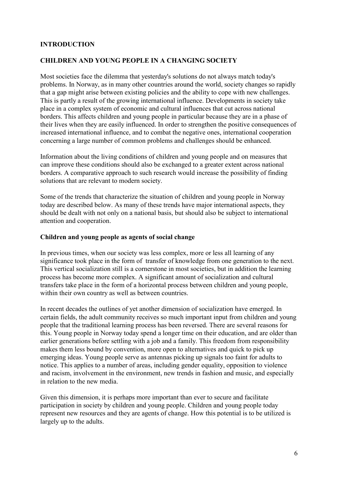#### **INTRODUCTION**

#### **CHILDREN AND YOUNG PEOPLE IN A CHANGING SOCIETY**

Most societies face the dilemma that yesterday's solutions do not always match today's problems. In Norway, as in many other countries around the world, society changes so rapidly that a gap might arise between existing policies and the ability to cope with new challenges. This is partly a result of the growing international influence. Developments in society take place in a complex system of economic and cultural influences that cut across national borders. This affects children and young people in particular because they are in a phase of their lives when they are easily influenced. In order to strengthen the positive consequences of increased international influence, and to combat the negative ones, international cooperation concerning a large number of common problems and challenges should be enhanced.

Information about the living conditions of children and young people and on measures that can improve these conditions should also be exchanged to a greater extent across national borders. A comparative approach to such research would increase the possibility of finding solutions that are relevant to modern society.

Some of the trends that characterize the situation of children and young people in Norway today are described below. As many of these trends have major international aspects, they should be dealt with not only on a national basis, but should also be subject to international attention and cooperation.

#### **Children and young people as agents of social change**

In previous times, when our society was less complex, more or less all learning of any significance took place in the form of transfer of knowledge from one generation to the next. This vertical socialization still is a cornerstone in most societies, but in addition the learning process has become more complex. A significant amount of socialization and cultural transfers take place in the form of a horizontal process between children and young people, within their own country as well as between countries.

In recent decades the outlines of yet another dimension of socialization have emerged. In certain fields, the adult community receives so much important input from children and young people that the traditional learning process has been reversed. There are several reasons for this. Young people in Norway today spend a longer time on their education, and are older than earlier generations before settling with a job and a family. This freedom from responsibility makes them less bound by convention, more open to alternatives and quick to pick up emerging ideas. Young people serve as antennas picking up signals too faint for adults to notice. This applies to a number of areas, including gender equality, opposition to violence and racism, involvement in the environment, new trends in fashion and music, and especially in relation to the new media.

Given this dimension, it is perhaps more important than ever to secure and facilitate participation in society by children and young people. Children and young people today represent new resources and they are agents of change. How this potential is to be utilized is largely up to the adults.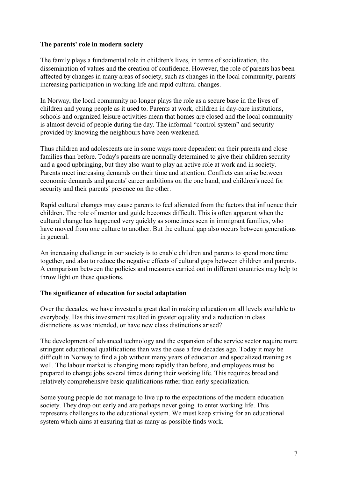### **The parents' role in modern society**

The family plays a fundamental role in children's lives, in terms of socialization, the dissemination of values and the creation of confidence. However, the role of parents has been affected by changes in many areas of society, such as changes in the local community, parents' increasing participation in working life and rapid cultural changes.

In Norway, the local community no longer plays the role as a secure base in the lives of children and young people as it used to. Parents at work, children in day-care institutions, schools and organized leisure activities mean that homes are closed and the local community is almost devoid of people during the day. The informal "control system" and security provided by knowing the neighbours have been weakened.

Thus children and adolescents are in some ways more dependent on their parents and close families than before. Today's parents are normally determined to give their children security and a good upbringing, but they also want to play an active role at work and in society. Parents meet increasing demands on their time and attention. Conflicts can arise between economic demands and parents' career ambitions on the one hand, and children's need for security and their parents' presence on the other.

Rapid cultural changes may cause parents to feel alienated from the factors that influence their children. The role of mentor and guide becomes difficult. This is often apparent when the cultural change has happened very quickly as sometimes seen in immigrant families, who have moved from one culture to another. But the cultural gap also occurs between generations in general.

An increasing challenge in our society is to enable children and parents to spend more time together, and also to reduce the negative effects of cultural gaps between children and parents. A comparison between the policies and measures carried out in different countries may help to throw light on these questions.

#### **The significance of education for social adaptation**

Over the decades, we have invested a great deal in making education on all levels available to everybody. Has this investment resulted in greater equality and a reduction in class distinctions as was intended, or have new class distinctions arised?

The development of advanced technology and the expansion of the service sector require more stringent educational qualifications than was the case a few decades ago. Today it may be difficult in Norway to find a job without many years of education and specialized training as well. The labour market is changing more rapidly than before, and employees must be prepared to change jobs several times during their working life. This requires broad and relatively comprehensive basic qualifications rather than early specialization.

Some young people do not manage to live up to the expectations of the modern education society. They drop out early and are perhaps never going to enter working life. This represents challenges to the educational system. We must keep striving for an educational system which aims at ensuring that as many as possible finds work.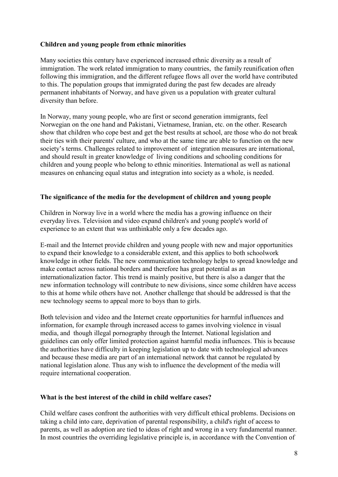### **Children and young people from ethnic minorities**

Many societies this century have experienced increased ethnic diversity as a result of immigration. The work related immigration to many countries, the family reunification often following this immigration, and the different refugee flows all over the world have contributed to this. The population groups that immigrated during the past few decades are already permanent inhabitants of Norway, and have given us a population with greater cultural diversity than before.

In Norway, many young people, who are first or second generation immigrants, feel Norwegian on the one hand and Pakistani, Vietnamese, Iranian, etc. on the other. Research show that children who cope best and get the best results at school, are those who do not break their ties with their parents' culture, and who at the same time are able to function on the new society's terms. Challenges related to improvement of integration measures are international, and should result in greater knowledge of living conditions and schooling conditions for children and young people who belong to ethnic minorities. International as well as national measures on enhancing equal status and integration into society as a whole, is needed.

#### **The significance of the media for the development of children and young people**

Children in Norway live in a world where the media has a growing influence on their everyday lives. Television and video expand children's and young people's world of experience to an extent that was unthinkable only a few decades ago.

E-mail and the Internet provide children and young people with new and major opportunities to expand their knowledge to a considerable extent, and this applies to both schoolwork knowledge in other fields. The new communication technology helps to spread knowledge and make contact across national borders and therefore has great potential as an internationalization factor. This trend is mainly positive, but there is also a danger that the new information technology will contribute to new divisions, since some children have access to this at home while others have not. Another challenge that should be addressed is that the new technology seems to appeal more to boys than to girls.

Both television and video and the Internet create opportunities for harmful influences and information, for example through increased access to games involving violence in visual media, and though illegal pornography through the Internet. National legislation and guidelines can only offer limited protection against harmful media influences. This is because the authorities have difficulty in keeping legislation up to date with technological advances and because these media are part of an international network that cannot be regulated by national legislation alone. Thus any wish to influence the development of the media will require international cooperation.

#### **What is the best interest of the child in child welfare cases?**

Child welfare cases confront the authorities with very difficult ethical problems. Decisions on taking a child into care, deprivation of parental responsibility, a child's right of access to parents, as well as adoption are tied to ideas of right and wrong in a very fundamental manner. In most countries the overriding legislative principle is, in accordance with the Convention of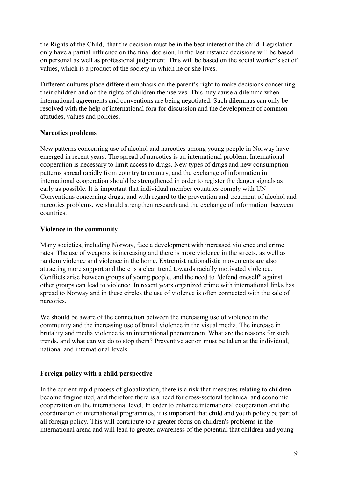the Rights of the Child, that the decision must be in the best interest of the child. Legislation only have a partial influence on the final decision. In the last instance decisions will be based on personal as well as professional judgement. This will be based on the social worker's set of values, which is a product of the society in which he or she lives.

Different cultures place different emphasis on the parent's right to make decisions concerning their children and on the rights of children themselves. This may cause a dilemma when international agreements and conventions are being negotiated. Such dilemmas can only be resolved with the help of international fora for discussion and the development of common attitudes, values and policies.

### **Narcotics problems**

New patterns concerning use of alcohol and narcotics among young people in Norway have emerged in recent years. The spread of narcotics is an international problem. International cooperation is necessary to limit access to drugs. New types of drugs and new consumption patterns spread rapidly from country to country, and the exchange of information in international cooperation should be strengthened in order to register the danger signals as early as possible. It is important that individual member countries comply with UN Conventions concerning drugs, and with regard to the prevention and treatment of alcohol and narcotics problems, we should strengthen research and the exchange of information between countries.

#### **Violence in the community**

Many societies, including Norway, face a development with increased violence and crime rates. The use of weapons is increasing and there is more violence in the streets, as well as random violence and violence in the home. Extremist nationalistic movements are also attracting more support and there is a clear trend towards racially motivated violence. Conflicts arise between groups of young people, and the need to "defend oneself" against other groups can lead to violence. In recent years organized crime with international links has spread to Norway and in these circles the use of violence is often connected with the sale of narcotics.

We should be aware of the connection between the increasing use of violence in the community and the increasing use of brutal violence in the visual media. The increase in brutality and media violence is an international phenomenon. What are the reasons for such trends, and what can we do to stop them? Preventive action must be taken at the individual, national and international levels.

### **Foreign policy with a child perspective**

In the current rapid process of globalization, there is a risk that measures relating to children become fragmented, and therefore there is a need for cross-sectoral technical and economic cooperation on the international level. In order to enhance international cooperation and the coordination of international programmes, it is important that child and youth policy be part of all foreign policy. This will contribute to a greater focus on children's problems in the international arena and will lead to greater awareness of the potential that children and young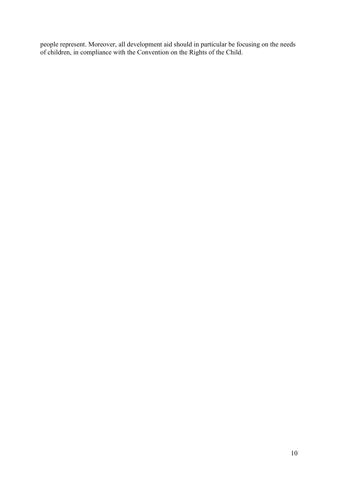people represent. Moreover, all development aid should in particular be focusing on the needs of children, in compliance with the Convention on the Rights of the Child.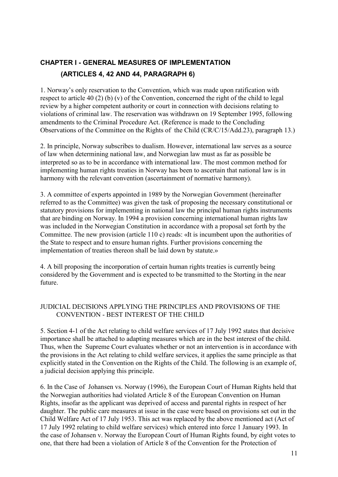# **CHAPTER I - GENERAL MEASURES OF IMPLEMENTATION (ARTICLES 4, 42 AND 44, PARAGRAPH 6)**

1. Norway's only reservation to the Convention, which was made upon ratification with respect to article 40 (2) (b) (v) of the Convention, concerned the right of the child to legal review by a higher competent authority or court in connection with decisions relating to violations of criminal law. The reservation was withdrawn on 19 September 1995, following amendments to the Criminal Procedure Act. (Reference is made to the Concluding Observations of the Committee on the Rights of the Child (CR/C/15/Add.23), paragraph 13.)

2. In principle, Norway subscribes to dualism. However, international law serves as a source of law when determining national law, and Norwegian law must as far as possible be interpreted so as to be in accordance with international law. The most common method for implementing human rights treaties in Norway has been to ascertain that national law is in harmony with the relevant convention (ascertainment of normative harmony).

3. A committee of experts appointed in 1989 by the Norwegian Government (hereinafter referred to as the Committee) was given the task of proposing the necessary constitutional or statutory provisions for implementing in national law the principal human rights instruments that are binding on Norway. In 1994 a provision concerning international human rights law was included in the Norwegian Constitution in accordance with a proposal set forth by the Committee. The new provision (article 110 c) reads: «It is incumbent upon the authorities of the State to respect and to ensure human rights. Further provisions concerning the implementation of treaties thereon shall be laid down by statute.»

4. A bill proposing the incorporation of certain human rights treaties is currently being considered by the Government and is expected to be transmitted to the Storting in the near future.

### JUDICIAL DECISIONS APPLYING THE PRINCIPLES AND PROVISIONS OF THE CONVENTION - BEST INTEREST OF THE CHILD

5. Section 4-1 of the Act relating to child welfare services of 17 July 1992 states that decisive importance shall be attached to adapting measures which are in the best interest of the child. Thus, when the Supreme Court evaluates whether or not an intervention is in accordance with the provisions in the Act relating to child welfare services, it applies the same principle as that explicitly stated in the Convention on the Rights of the Child. The following is an example of, a judicial decision applying this principle.

6. In the Case of Johansen vs. Norway (1996), the European Court of Human Rights held that the Norwegian authorities had violated Article 8 of the European Convention on Human Rights, insofar as the applicant was deprived of access and parental rights in respect of her daughter. The public care measures at issue in the case were based on provisions set out in the Child Welfare Act of 17 July 1953. This act was replaced by the above mentioned act (Act of 17 July 1992 relating to child welfare services) which entered into force 1 January 1993. In the case of Johansen v. Norway the European Court of Human Rights found, by eight votes to one, that there had been a violation of Article 8 of the Convention for the Protection of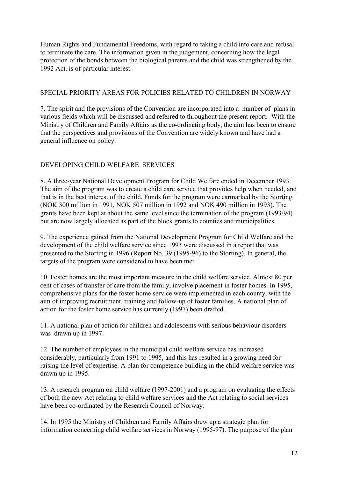Human Rights and Fundamental Freedoms, with regard to taking a child into care and refusal to terminate the care. The information given in the judgement, concerning how the legal protection of the bonds between the biological parents and the child was strengthened by the 1992 Act, is of particular interest.

### SPECIAL PRIORITY AREAS FOR POLICIES RELATED TO CHILDREN IN NORWAY

7. The spirit and the provisions of the Convention are incorporated into a number of plans in various fields which will be discussed and referred to throughout the present report. With the Ministry of Children and Family Affairs as the co-ordinating body, the aim has been to ensure that the perspectives and provisions of the Convention are widely known and have had a general influence on policy.

# DEVELOPING CHILD WELFARE SERVICES

8. A three-year National Development Program for Child Welfare ended in December 1993. The aim of the program was to create a child care service that provides help when needed, and that is in the best interest of the child. Funds for the program were earmarked by the Storting (NOK 300 million in 1991, NOK 507 million in 1992 and NOK 490 million in 1993). The grants have been kept at about the same level since the termination of the program (1993/94) but are now largely allocated as part of the block grants to counties and municipalities.

9. The experience gained from the National Development Program for Child Welfare and the development of the child welfare service since 1993 were discussed in a report that was presented to the Storting in 1996 (Report No. 39 (1995-96) to the Storting). In general, the targets of the program were considered to have been met.

10. Foster homes are the most important measure in the child welfare service. Almost 80 per cent of cases of transfer of care from the family, involve placement in foster homes. In 1995, comprehensive plans for the foster home service were implemented in each county, with the aim of improving recruitment, training and follow-up of foster families. A national plan of action for the foster home service has currently (1997) been drafted.

11. A national plan of action for children and adolescents with serious behaviour disorders was drawn up in 1997.

12. The number of employees in the municipal child welfare service has increased considerably, particularly from 1991 to 1995, and this has resulted in a growing need for raising the level of expertise. A plan for competence building in the child welfare service was drawn up in 1995.

13. A research program on child welfare (1997-2001) and a program on evaluating the effects of both the new Act relating to child welfare services and the Act relating to social services have been co-ordinated by the Research Council of Norway.

14. In 1995 the Ministry of Children and Family Affairs drew up a strategic plan for information concerning child welfare services in Norway (1995-97). The purpose of the plan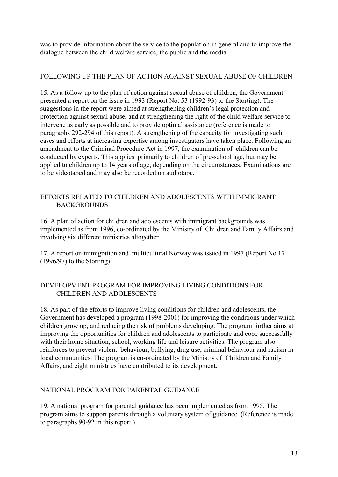was to provide information about the service to the population in general and to improve the dialogue between the child welfare service, the public and the media.

### FOLLOWING UP THE PLAN OF ACTION AGAINST SEXUAL ABUSE OF CHILDREN

15. As a follow-up to the plan of action against sexual abuse of children, the Government presented a report on the issue in 1993 (Report No. 53 (1992-93) to the Storting). The suggestions in the report were aimed at strengthening children's legal protection and protection against sexual abuse, and at strengthening the right of the child welfare service to intervene as early as possible and to provide optimal assistance (reference is made to paragraphs 292-294 of this report). A strengthening of the capacity for investigating such cases and efforts at increasing expertise among investigators have taken place. Following an amendment to the Criminal Procedure Act in 1997, the examination of children can be conducted by experts. This applies primarily to children of pre-school age, but may be applied to children up to 14 years of age, depending on the circumstances. Examinations are to be videotaped and may also be recorded on audiotape.

### EFFORTS RELATED TO CHILDREN AND ADOLESCENTS WITH IMMIGRANT **BACKGROUNDS**

16. A plan of action for children and adolescents with immigrant backgrounds was implemented as from 1996, co-ordinated by the Ministry of Children and Family Affairs and involving six different ministries altogether.

17. A report on immigration and multicultural Norway was issued in 1997 (Report No.17 (1996/97) to the Storting).

### DEVELOPMENT PROGRAM FOR IMPROVING LIVING CONDITIONS FOR CHILDREN AND ADOLESCENTS

18. As part of the efforts to improve living conditions for children and adolescents, the Government has developed a program (1998-2001) for improving the conditions under which children grow up, and reducing the risk of problems developing. The program further aims at improving the opportunities for children and adolescents to participate and cope successfully with their home situation, school, working life and leisure activities. The program also reinforces to prevent violent behaviour, bullying, drug use, criminal behaviour and racism in local communities. The program is co-ordinated by the Ministry of Children and Family Affairs, and eight ministries have contributed to its development.

### NATIONAL PROGRAM FOR PARENTAL GUIDANCE

19. A national program for parental guidance has been implemented as from 1995. The program aims to support parents through a voluntary system of guidance. (Reference is made to paragraphs 90-92 in this report.)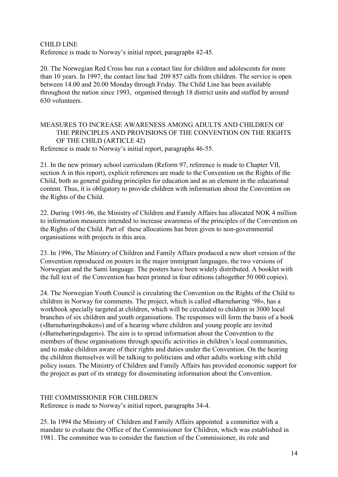CHILD LINE Reference is made to Norway's initial report, paragraphs 42-45.

20. The Norwegian Red Cross has run a contact line for children and adolescents for more than 10 years. In 1997, the contact line had 209 857 calls from children. The service is open between 14.00 and 20.00 Monday through Friday. The Child Line has been available throughout the nation since 1993, organised through 18 district units and staffed by around 630 volunteers.

# MEASURES TO INCREASE AWARENESS AMONG ADULTS AND CHILDREN OF THE PRINCIPLES AND PROVISIONS OF THE CONVENTION ON THE RIGHTS OF THE CHILD (ARTICLE 42)

Reference is made to Norway's initial report, paragraphs 46-55.

21. In the new primary school curriculum (Reform 97, reference is made to Chapter VII, section A in this report), explicit references are made to the Convention on the Rights of the Child, both as general guiding principles for education and as an element in the educational content. Thus, it is obligatory to provide children with information about the Convention on the Rights of the Child.

22. During 1991-96, the Ministry of Children and Family Affairs has allocated NOK 4 million to information measures intended to increase awareness of the principles of the Convention on the Rights of the Child. Part of these allocations has been given to non-governmental organisations with projects in this area.

23. In 1996, The Ministry of Children and Family Affairs produced a new short version of the Convention reproduced on posters in the major immigrant languages, the two versions of Norwegian and the Sami language. The posters have been widely distributed. A booklet with the full text of the Convention has been printed in four editions (altogether 50 000 copies).

24. The Norwegian Youth Council is circulating the Convention on the Rights of the Child to children in Norway for comments. The project, which is called «Barnehøring '98», has a workbook specially targeted at children, which will be circulated to children in 3000 local branches of six children and youth organisations. The responses will form the basis of a book («Barnehøringsboken») and of a hearing where children and young people are invited («Barnehøringsdagen»). The aim is to spread information about the Convention to the members of these organisations through specific activities in children's local communities, and to make children aware of their rights and duties under the Convention. On the hearing the children themselves will be talking to politicians and other adults working with child policy issues. The Ministry of Children and Family Affairs has provided economic support for the project as part of its strategy for disseminating information about the Convention.

### THE COMMISSIONER FOR CHILDREN

Reference is made to Norway's initial report, paragraphs 34-4.

25. In 1994 the Ministry of Children and Family Affairs appointed a committee with a mandate to evaluate the Office of the Commissioner for Children, which was established in 1981. The committee was to consider the function of the Commissioner, its role and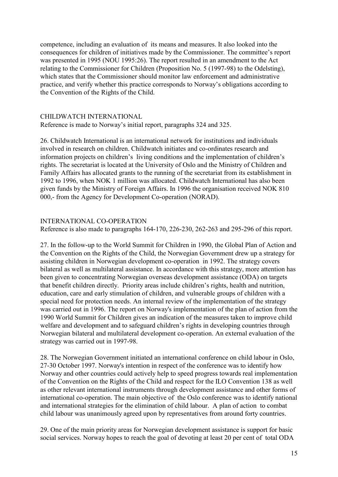competence, including an evaluation of its means and measures. It also looked into the consequences for children of initiatives made by the Commissioner. The committee's report was presented in 1995 (NOU 1995:26). The report resulted in an amendment to the Act relating to the Commissioner for Children (Proposition No. 5 (1997-98) to the Odelsting), which states that the Commissioner should monitor law enforcement and administrative practice, and verify whether this practice corresponds to Norway's obligations according to the Convention of the Rights of the Child.

#### CHILDWATCH INTERNATIONAL

Reference is made to Norway's initial report, paragraphs 324 and 325.

26. Childwatch International is an international network for institutions and individuals involved in research on children. Childwatch initiates and co-ordinates research and information projects on children's living conditions and the implementation of children's rights. The secretariat is located at the University of Oslo and the Ministry of Children and Family Affairs has allocated grants to the running of the secretariat from its establishment in 1992 to 1996, when NOK 1 million was allocated. Childwatch International has also been given funds by the Ministry of Foreign Affairs. In 1996 the organisation received NOK 810 000,- from the Agency for Development Co-operation (NORAD).

#### INTERNATIONAL CO-OPERATION

Reference is also made to paragraphs 164-170, 226-230, 262-263 and 295-296 of this report.

27. In the follow-up to the World Summit for Children in 1990, the Global Plan of Action and the Convention on the Rights of the Child, the Norwegian Government drew up a strategy for assisting children in Norwegian development co-operation in 1992. The strategy covers bilateral as well as multilateral assistance. In accordance with this strategy, more attention has been given to concentrating Norwegian overseas development assistance (ODA) on targets that benefit children directly. Priority areas include children's rights, health and nutrition, education, care and early stimulation of children, and vulnerable groups of children with a special need for protection needs. An internal review of the implementation of the strategy was carried out in 1996. The report on Norway's implementation of the plan of action from the 1990 World Summit for Children gives an indication of the measures taken to improve child welfare and development and to safeguard children's rights in developing countries through Norwegian bilateral and multilateral development co-operation. An external evaluation of the strategy was carried out in 1997-98.

28. The Norwegian Government initiated an international conference on child labour in Oslo, 27-30 October 1997. Norway's intention in respect of the conference was to identify how Norway and other countries could actively help to speed progress towards real implementation of the Convention on the Rights of the Child and respect for the ILO Convention 138 as well as other relevant international instruments through development assistance and other forms of international co-operation. The main objective of the Oslo conference was to identify national and international strategies for the elimination of child labour. A plan of action to combat child labour was unanimously agreed upon by representatives from around forty countries.

29. One of the main priority areas for Norwegian development assistance is support for basic social services. Norway hopes to reach the goal of devoting at least 20 per cent of total ODA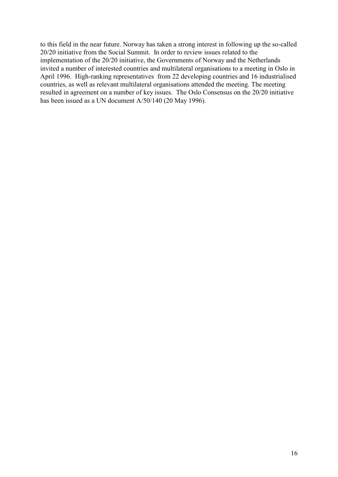to this field in the near future. Norway has taken a strong interest in following up the so-called 20/20 initiative from the Social Summit. In order to review issues related to the implementation of the 20/20 initiative, the Governments of Norway and the Netherlands invited a number of interested countries and multilateral organisations to a meeting in Oslo in April 1996. High-ranking representatives from 22 developing countries and 16 industrialised countries, as well as relevant multilateral organisations attended the meeting. The meeting resulted in agreement on a number of key issues. The Oslo Consensus on the 20/20 initiative has been issued as a UN document A/50/140 (20 May 1996).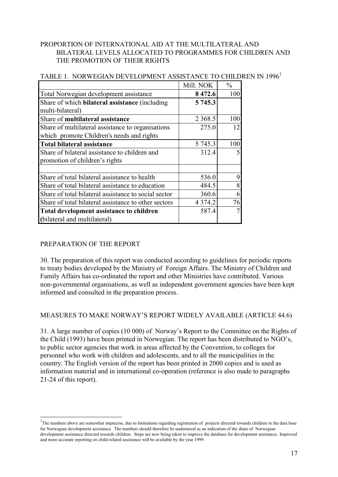### PROPORTION OF INTERNATIONAL AID AT THE MULTILATERAL AND BILATERAL LEVELS ALLOCATED TO PROGRAMMES FOR CHILDREN AND THE PROMOTION OF THEIR RIGHTS

|                                                       | Mill. NOK  | $\frac{0}{0}$ |
|-------------------------------------------------------|------------|---------------|
| Total Norwegian development assistance                | 8 472.6    | 100           |
| Share of which <b>bilateral assistance</b> (including | 5 745.3    |               |
| multi-bilateral)                                      |            |               |
| Share of multilateral assistance                      | 2 3 68.5   | 100           |
| Share of multilateral assistance to organisations     | 275.0      | 12            |
| which promote Children's needs and rights             |            |               |
| <b>Total bilateral assistance</b>                     | 5 745.3    | 100           |
| Share of bilateral assistance to children and         | 312.4      | 5             |
| promotion of children's rights                        |            |               |
|                                                       |            |               |
| Share of total bilateral assistance to health         | 536.0      | 9             |
| Share of total bilateral assistance to education      | 484.5      | 8             |
| Share of total bilateral assistance to social sector  | 360.6      | 6             |
| Share of total bilateral assistance to other sectors  | 4 3 7 4 .2 | 76            |
| Total development assistance to children              | 587.4      | $\tau$        |
| (bilateral and multilateral)                          |            |               |

### TABLE 1. NORWEGIAN DEVELOPMENT ASSISTANCE TO CHILDREN IN 1996<sup>1</sup>

# PREPARATION OF THE REPORT

 $\overline{a}$ 

30. The preparation of this report was conducted according to guidelines for periodic reports to treaty bodies developed by the Ministry of Foreign Affairs. The Ministry of Children and Family Affairs has co-ordinated the report and other Ministries have contributed. Various non-governmental organisations, as well as independent government agencies have been kept informed and consulted in the preparation process.

### MEASURES TO MAKE NORWAY'S REPORT WIDELY AVAILABLE (ARTICLE 44.6)

31. A large number of copies (10 000) of Norway's Report to the Committee on the Rights of the Child (1993) have been printed in Norwegian. The report has been distributed to NGO's, to public sector agencies that work in areas affected by the Convention, to colleges for personnel who work with children and adolescents, and to all the municipalities in the country. The English version of the report has been printed in 2000 copies and is used as information material and in international co-operation (reference is also made to paragraphs 21-24 of this report).

<sup>&</sup>lt;sup>1</sup>The numbers above are somewhat imprecise, due to limitations regarding registration of projects directed towards children in the data base for Norwegian development assistance. The numbers should therefore be understood as an indication of the share of Norwegian development assistance directed towards children. Steps are now being taken to improve the database for development assistance. Improved and more accurate reporting on child-related assistance will be available by the year 1999.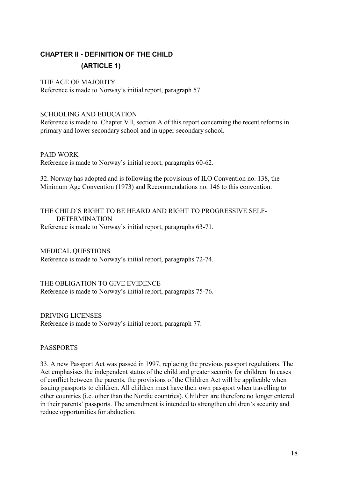# **CHAPTER II - DEFINITION OF THE CHILD (ARTICLE 1)**

### THE AGE OF MAJORITY

Reference is made to Norway's initial report, paragraph 57.

### SCHOOLING AND EDUCATION

Reference is made to Chapter VII, section A of this report concerning the recent reforms in primary and lower secondary school and in upper secondary school.

#### PAID WORK

Reference is made to Norway's initial report, paragraphs 60-62.

32. Norway has adopted and is following the provisions of ILO Convention no. 138, the Minimum Age Convention (1973) and Recommendations no. 146 to this convention.

#### THE CHILD'S RIGHT TO BE HEARD AND RIGHT TO PROGRESSIVE SELF-DETERMINATION Reference is made to Norway's initial report, paragraphs 63-71.

MEDICAL QUESTIONS Reference is made to Norway's initial report, paragraphs 72-74.

THE OBLIGATION TO GIVE EVIDENCE Reference is made to Norway's initial report, paragraphs 75-76.

DRIVING LICENSES Reference is made to Norway's initial report, paragraph 77.

### PASSPORTS

33. A new Passport Act was passed in 1997, replacing the previous passport regulations. The Act emphasises the independent status of the child and greater security for children. In cases of conflict between the parents, the provisions of the Children Act will be applicable when issuing passports to children. All children must have their own passport when travelling to other countries (i.e. other than the Nordic countries). Children are therefore no longer entered in their parents' passports. The amendment is intended to strengthen children's security and reduce opportunities for abduction.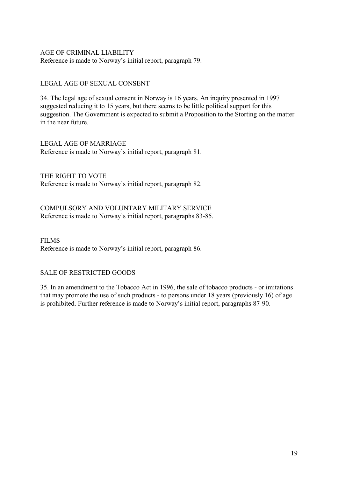### AGE OF CRIMINAL LIABILITY Reference is made to Norway's initial report, paragraph 79.

### LEGAL AGE OF SEXUAL CONSENT

34. The legal age of sexual consent in Norway is 16 years. An inquiry presented in 1997 suggested reducing it to 15 years, but there seems to be little political support for this suggestion. The Government is expected to submit a Proposition to the Storting on the matter in the near future.

LEGAL AGE OF MARRIAGE Reference is made to Norway's initial report, paragraph 81.

THE RIGHT TO VOTE Reference is made to Norway's initial report, paragraph 82.

COMPULSORY AND VOLUNTARY MILITARY SERVICE Reference is made to Norway's initial report, paragraphs 83-85.

**FILMS** Reference is made to Norway's initial report, paragraph 86.

### SALE OF RESTRICTED GOODS

35. In an amendment to the Tobacco Act in 1996, the sale of tobacco products - or imitations that may promote the use of such products - to persons under 18 years (previously 16) of age is prohibited. Further reference is made to Norway's initial report, paragraphs 87-90.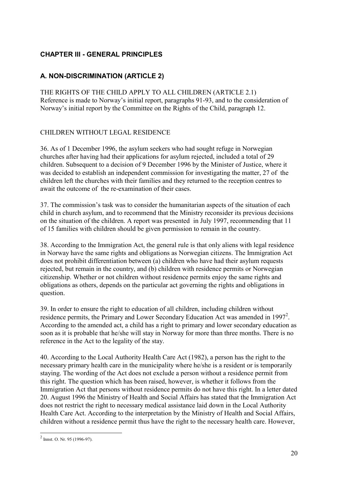# **CHAPTER III - GENERAL PRINCIPLES**

# **A. NON-DISCRIMINATION (ARTICLE 2)**

THE RIGHTS OF THE CHILD APPLY TO ALL CHILDREN (ARTICLE 2.1) Reference is made to Norway's initial report, paragraphs 91-93, and to the consideration of Norway's initial report by the Committee on the Rights of the Child, paragraph 12.

# CHILDREN WITHOUT LEGAL RESIDENCE

36. As of 1 December 1996, the asylum seekers who had sought refuge in Norwegian churches after having had their applications for asylum rejected, included a total of 29 children. Subsequent to a decision of 9 December 1996 by the Minister of Justice, where it was decided to establish an independent commission for investigating the matter, 27 of the children left the churches with their families and they returned to the reception centres to await the outcome of the re-examination of their cases.

37. The commission's task was to consider the humanitarian aspects of the situation of each child in church asylum, and to recommend that the Ministry reconsider its previous decisions on the situation of the children. A report was presented in July 1997, recommending that 11 of 15 families with children should be given permission to remain in the country.

38. According to the Immigration Act, the general rule is that only aliens with legal residence in Norway have the same rights and obligations as Norwegian citizens. The Immigration Act does not prohibit differentiation between (a) children who have had their asylum requests rejected, but remain in the country, and (b) children with residence permits or Norwegian citizenship. Whether or not children without residence permits enjoy the same rights and obligations as others, depends on the particular act governing the rights and obligations in question.

39. In order to ensure the right to education of all children, including children without residence permits, the Primary and Lower Secondary Education Act was amended in 1997<sup>2</sup>. According to the amended act, a child has a right to primary and lower secondary education as soon as it is probable that he/she will stay in Norway for more than three months. There is no reference in the Act to the legality of the stay.

40. According to the Local Authority Health Care Act (1982), a person has the right to the necessary primary health care in the municipality where he/she is a resident or is temporarily staying. The wording of the Act does not exclude a person without a residence permit from this right. The question which has been raised, however, is whether it follows from the Immigration Act that persons without residence permits do not have this right. In a letter dated 20. August 1996 the Ministry of Health and Social Affairs has stated that the Immigration Act does not restrict the right to necessary medical assistance laid down in the Local Authority Health Care Act. According to the interpretation by the Ministry of Health and Social Affairs, children without a residence permit thus have the right to the necessary health care. However,

 2 Innst. O. Nr. 95 (1996-97).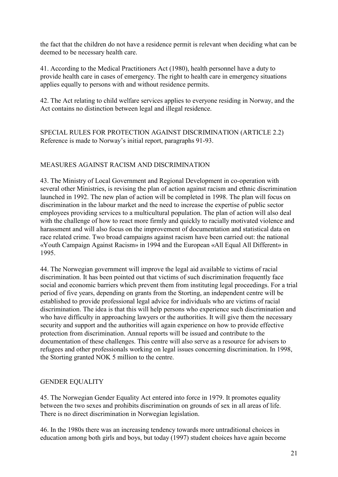the fact that the children do not have a residence permit is relevant when deciding what can be deemed to be necessary health care.

41. According to the Medical Practitioners Act (1980), health personnel have a duty to provide health care in cases of emergency. The right to health care in emergency situations applies equally to persons with and without residence permits.

42. The Act relating to child welfare services applies to everyone residing in Norway, and the Act contains no distinction between legal and illegal residence.

SPECIAL RULES FOR PROTECTION AGAINST DISCRIMINATION (ARTICLE 2.2) Reference is made to Norway's initial report, paragraphs 91-93.

# MEASURES AGAINST RACISM AND DISCRIMINATION

43. The Ministry of Local Government and Regional Development in co-operation with several other Ministries, is revising the plan of action against racism and ethnic discrimination launched in 1992. The new plan of action will be completed in 1998. The plan will focus on discrimination in the labour market and the need to increase the expertise of public sector employees providing services to a multicultural population. The plan of action will also deal with the challenge of how to react more firmly and quickly to racially motivated violence and harassment and will also focus on the improvement of documentation and statistical data on race related crime. Two broad campaigns against racism have been carried out: the national «Youth Campaign Against Racism» in 1994 and the European «All Equal All Different» in 1995.

44. The Norwegian government will improve the legal aid available to victims of racial discrimination. It has been pointed out that victims of such discrimination frequently face social and economic barriers which prevent them from instituting legal proceedings. For a trial period of five years, depending on grants from the Storting, an independent centre will be established to provide professional legal advice for individuals who are victims of racial discrimination. The idea is that this will help persons who experience such discrimination and who have difficulty in approaching lawyers or the authorities. It will give them the necessary security and support and the authorities will again experience on how to provide effective protection from discrimination. Annual reports will be issued and contribute to the documentation of these challenges. This centre will also serve as a resource for advisers to refugees and other professionals working on legal issues concerning discrimination. In 1998, the Storting granted NOK 5 million to the centre.

# GENDER EQUALITY

45. The Norwegian Gender Equality Act entered into force in 1979. It promotes equality between the two sexes and prohibits discrimination on grounds of sex in all areas of life. There is no direct discrimination in Norwegian legislation.

46. In the 1980s there was an increasing tendency towards more untraditional choices in education among both girls and boys, but today (1997) student choices have again become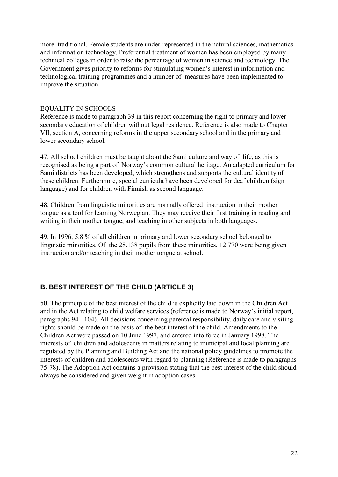more traditional. Female students are under-represented in the natural sciences, mathematics and information technology. Preferential treatment of women has been employed by many technical colleges in order to raise the percentage of women in science and technology. The Government gives priority to reforms for stimulating women's interest in information and technological training programmes and a number of measures have been implemented to improve the situation.

### EQUALITY IN SCHOOLS

Reference is made to paragraph 39 in this report concerning the right to primary and lower secondary education of children without legal residence. Reference is also made to Chapter VII, section A, concerning reforms in the upper secondary school and in the primary and lower secondary school.

47. All school children must be taught about the Sami culture and way of life, as this is recognised as being a part of Norway's common cultural heritage. An adapted curriculum for Sami districts has been developed, which strengthens and supports the cultural identity of these children. Furthermore, special curricula have been developed for deaf children (sign language) and for children with Finnish as second language.

48. Children from linguistic minorities are normally offered instruction in their mother tongue as a tool for learning Norwegian. They may receive their first training in reading and writing in their mother tongue, and teaching in other subjects in both languages.

49. In 1996, 5.8 % of all children in primary and lower secondary school belonged to linguistic minorities. Of the 28.138 pupils from these minorities, 12.770 were being given instruction and/or teaching in their mother tongue at school.

# **B. BEST INTEREST OF THE CHILD (ARTICLE 3)**

50. The principle of the best interest of the child is explicitly laid down in the Children Act and in the Act relating to child welfare services (reference is made to Norway's initial report, paragraphs 94 - 104). All decisions concerning parental responsibility, daily care and visiting rights should be made on the basis of the best interest of the child. Amendments to the Children Act were passed on 10 June 1997, and entered into force in January 1998. The interests of children and adolescents in matters relating to municipal and local planning are regulated by the Planning and Building Act and the national policy guidelines to promote the interests of children and adolescents with regard to planning (Reference is made to paragraphs 75-78). The Adoption Act contains a provision stating that the best interest of the child should always be considered and given weight in adoption cases.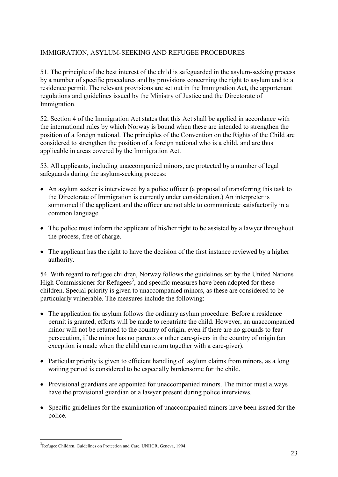### IMMIGRATION, ASYLUM-SEEKING AND REFUGEE PROCEDURES

51. The principle of the best interest of the child is safeguarded in the asylum-seeking process by a number of specific procedures and by provisions concerning the right to asylum and to a residence permit. The relevant provisions are set out in the Immigration Act, the appurtenant regulations and guidelines issued by the Ministry of Justice and the Directorate of Immigration.

52. Section 4 of the Immigration Act states that this Act shall be applied in accordance with the international rules by which Norway is bound when these are intended to strengthen the position of a foreign national. The principles of the Convention on the Rights of the Child are considered to strengthen the position of a foreign national who is a child, and are thus applicable in areas covered by the Immigration Act.

53. All applicants, including unaccompanied minors, are protected by a number of legal safeguards during the asylum-seeking process:

- An asylum seeker is interviewed by a police officer (a proposal of transferring this task to the Directorate of Immigration is currently under consideration.) An interpreter is summoned if the applicant and the officer are not able to communicate satisfactorily in a common language.
- The police must inform the applicant of his/her right to be assisted by a lawyer throughout the process, free of charge.
- The applicant has the right to have the decision of the first instance reviewed by a higher authority.

54. With regard to refugee children, Norway follows the guidelines set by the United Nations High Commissioner for Refugees<sup>3</sup>, and specific measures have been adopted for these children. Special priority is given to unaccompanied minors, as these are considered to be particularly vulnerable. The measures include the following:

- The application for asylum follows the ordinary asylum procedure. Before a residence permit is granted, efforts will be made to repatriate the child. However, an unaccompanied minor will not be returned to the country of origin, even if there are no grounds to fear persecution, if the minor has no parents or other care-givers in the country of origin (an exception is made when the child can return together with a care-giver).
- Particular priority is given to efficient handling of asylum claims from minors, as a long waiting period is considered to be especially burdensome for the child.
- Provisional guardians are appointed for unaccompanied minors. The minor must always have the provisional guardian or a lawyer present during police interviews.
- Specific guidelines for the examination of unaccompanied minors have been issued for the police.

 $\overline{a}$ 

<sup>&</sup>lt;sup>3</sup>Refugee Children. Guidelines on Protection and Care. UNHCR, Geneva, 1994.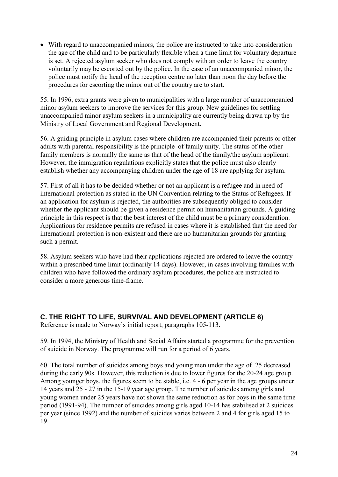With regard to unaccompanied minors, the police are instructed to take into consideration the age of the child and to be particularly flexible when a time limit for voluntary departure is set. A rejected asylum seeker who does not comply with an order to leave the country voluntarily may be escorted out by the police. In the case of an unaccompanied minor, the police must notify the head of the reception centre no later than noon the day before the procedures for escorting the minor out of the country are to start.

55. In 1996, extra grants were given to municipalities with a large number of unaccompanied minor asylum seekers to improve the services for this group. New guidelines for settling unaccompanied minor asylum seekers in a municipality are currently being drawn up by the Ministry of Local Government and Regional Development.

56. A guiding principle in asylum cases where children are accompanied their parents or other adults with parental responsibility is the principle of family unity. The status of the other family members is normally the same as that of the head of the family/the asylum applicant. However, the immigration regulations explicitly states that the police must also clearly establish whether any accompanying children under the age of 18 are applying for asylum.

57. First of all it has to be decided whether or not an applicant is a refugee and in need of international protection as stated in the UN Convention relating to the Status of Refugees. If an application for asylum is rejected, the authorities are subsequently obliged to consider whether the applicant should be given a residence permit on humanitarian grounds. A guiding principle in this respect is that the best interest of the child must be a primary consideration. Applications for residence permits are refused in cases where it is established that the need for international protection is non-existent and there are no humanitarian grounds for granting such a permit.

58. Asylum seekers who have had their applications rejected are ordered to leave the country within a prescribed time limit (ordinarily 14 days). However, in cases involving families with children who have followed the ordinary asylum procedures, the police are instructed to consider a more generous time-frame.

# **C. THE RIGHT TO LIFE, SURVIVAL AND DEVELOPMENT (ARTICLE 6)**

Reference is made to Norway's initial report, paragraphs 105-113.

59. In 1994, the Ministry of Health and Social Affairs started a programme for the prevention of suicide in Norway. The programme will run for a period of 6 years.

60. The total number of suicides among boys and young men under the age of 25 decreased during the early 90s. However, this reduction is due to lower figures for the 20-24 age group. Among younger boys, the figures seem to be stable, i.e. 4 - 6 per year in the age groups under 14 years and 25 - 27 in the 15-19 year age group. The number of suicides among girls and young women under 25 years have not shown the same reduction as for boys in the same time period (1991-94). The number of suicides among girls aged 10-14 has stabilised at 2 suicides per year (since 1992) and the number of suicides varies between 2 and 4 for girls aged 15 to 19.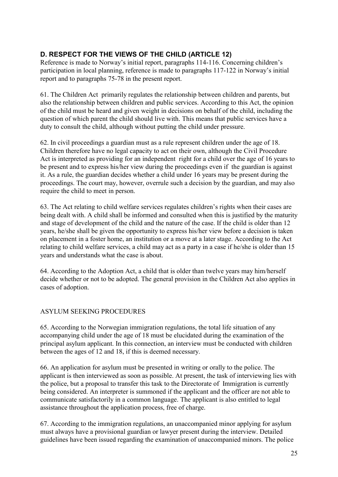# **D. RESPECT FOR THE VIEWS OF THE CHILD (ARTICLE 12)**

Reference is made to Norway's initial report, paragraphs 114-116. Concerning children's participation in local planning, reference is made to paragraphs 117-122 in Norway's initial report and to paragraphs 75-78 in the present report.

61. The Children Act primarily regulates the relationship between children and parents, but also the relationship between children and public services. According to this Act, the opinion of the child must be heard and given weight in decisions on behalf of the child, including the question of which parent the child should live with. This means that public services have a duty to consult the child, although without putting the child under pressure.

62. In civil proceedings a guardian must as a rule represent children under the age of 18. Children therefore have no legal capacity to act on their own, although the Civil Procedure Act is interpreted as providing for an independent right for a child over the age of 16 years to be present and to express his/her view during the proceedings even if the guardian is against it. As a rule, the guardian decides whether a child under 16 years may be present during the proceedings. The court may, however, overrule such a decision by the guardian, and may also require the child to meet in person.

63. The Act relating to child welfare services regulates children's rights when their cases are being dealt with. A child shall be informed and consulted when this is justified by the maturity and stage of development of the child and the nature of the case. If the child is older than 12 years, he/she shall be given the opportunity to express his/her view before a decision is taken on placement in a foster home, an institution or a move at a later stage. According to the Act relating to child welfare services, a child may act as a party in a case if he/she is older than 15 years and understands what the case is about.

64. According to the Adoption Act, a child that is older than twelve years may him/herself decide whether or not to be adopted. The general provision in the Children Act also applies in cases of adoption.

# ASYLUM SEEKING PROCEDURES

65. According to the Norwegian immigration regulations, the total life situation of any accompanying child under the age of 18 must be elucidated during the examination of the principal asylum applicant. In this connection, an interview must be conducted with children between the ages of 12 and 18, if this is deemed necessary.

66. An application for asylum must be presented in writing or orally to the police. The applicant is then interviewed as soon as possible. At present, the task of interviewing lies with the police, but a proposal to transfer this task to the Directorate of Immigration is currently being considered. An interpreter is summoned if the applicant and the officer are not able to communicate satisfactorily in a common language. The applicant is also entitled to legal assistance throughout the application process, free of charge.

67. According to the immigration regulations, an unaccompanied minor applying for asylum must always have a provisional guardian or lawyer present during the interview. Detailed guidelines have been issued regarding the examination of unaccompanied minors. The police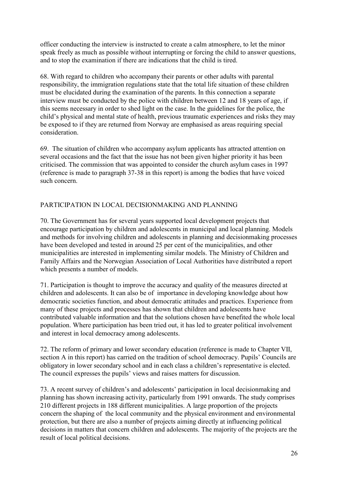officer conducting the interview is instructed to create a calm atmosphere, to let the minor speak freely as much as possible without interrupting or forcing the child to answer questions, and to stop the examination if there are indications that the child is tired.

68. With regard to children who accompany their parents or other adults with parental responsibility, the immigration regulations state that the total life situation of these children must be elucidated during the examination of the parents. In this connection a separate interview must be conducted by the police with children between 12 and 18 years of age, if this seems necessary in order to shed light on the case. In the guidelines for the police, the child's physical and mental state of health, previous traumatic experiences and risks they may be exposed to if they are returned from Norway are emphasised as areas requiring special consideration.

69. The situation of children who accompany asylum applicants has attracted attention on several occasions and the fact that the issue has not been given higher priority it has been criticised. The commission that was appointed to consider the church asylum cases in 1997 (reference is made to paragraph 37-38 in this report) is among the bodies that have voiced such concern.

# PARTICIPATION IN LOCAL DECISIONMAKING AND PLANNING

70. The Government has for several years supported local development projects that encourage participation by children and adolescents in municipal and local planning. Models and methods for involving children and adolescents in planning and decisionmaking processes have been developed and tested in around 25 per cent of the municipalities, and other municipalities are interested in implementing similar models. The Ministry of Children and Family Affairs and the Norwegian Association of Local Authorities have distributed a report which presents a number of models.

71. Participation is thought to improve the accuracy and quality of the measures directed at children and adolescents. It can also be of importance in developing knowledge about how democratic societies function, and about democratic attitudes and practices. Experience from many of these projects and processes has shown that children and adolescents have contributed valuable information and that the solutions chosen have benefited the whole local population. Where participation has been tried out, it has led to greater political involvement and interest in local democracy among adolescents.

72. The reform of primary and lower secondary education (reference is made to Chapter VII, section A in this report) has carried on the tradition of school democracy. Pupils' Councils are obligatory in lower secondary school and in each class a children's representative is elected. The council expresses the pupils' views and raises matters for discussion.

73. A recent survey of children's and adolescents' participation in local decisionmaking and planning has shown increasing activity, particularly from 1991 onwards. The study comprises 210 different projects in 188 different municipalities. A large proportion of the projects concern the shaping of the local community and the physical environment and environmental protection, but there are also a number of projects aiming directly at influencing political decisions in matters that concern children and adolescents. The majority of the projects are the result of local political decisions.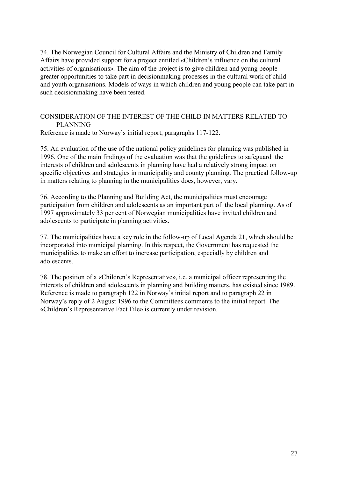74. The Norwegian Council for Cultural Affairs and the Ministry of Children and Family Affairs have provided support for a project entitled «Children's influence on the cultural activities of organisations». The aim of the project is to give children and young people greater opportunities to take part in decisionmaking processes in the cultural work of child and youth organisations. Models of ways in which children and young people can take part in such decisionmaking have been tested.

#### CONSIDERATION OF THE INTEREST OF THE CHILD IN MATTERS RELATED TO PLANNING

Reference is made to Norway's initial report, paragraphs 117-122.

75. An evaluation of the use of the national policy guidelines for planning was published in 1996. One of the main findings of the evaluation was that the guidelines to safeguard the interests of children and adolescents in planning have had a relatively strong impact on specific objectives and strategies in municipality and county planning. The practical follow-up in matters relating to planning in the municipalities does, however, vary.

76. According to the Planning and Building Act, the municipalities must encourage participation from children and adolescents as an important part of the local planning. As of 1997 approximately 33 per cent of Norwegian municipalities have invited children and adolescents to participate in planning activities.

77. The municipalities have a key role in the follow-up of Local Agenda 21, which should be incorporated into municipal planning. In this respect, the Government has requested the municipalities to make an effort to increase participation, especially by children and adolescents.

78. The position of a «Children's Representative», i.e. a municipal officer representing the interests of children and adolescents in planning and building matters, has existed since 1989. Reference is made to paragraph 122 in Norway's initial report and to paragraph 22 in Norway's reply of 2 August 1996 to the Committees comments to the initial report. The «Children's Representative Fact File» is currently under revision.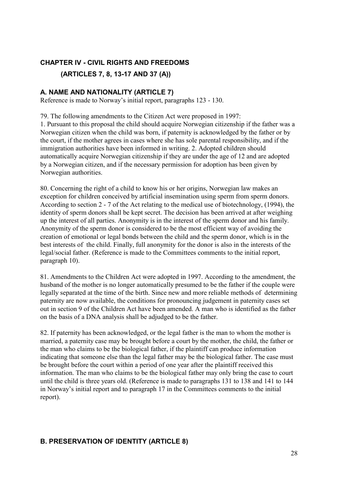# **CHAPTER IV - CIVIL RIGHTS AND FREEDOMS**

**(ARTICLES 7, 8, 13-17 AND 37 (A))**

### **A. NAME AND NATIONALITY (ARTICLE 7)**

Reference is made to Norway's initial report, paragraphs 123 - 130.

79. The following amendments to the Citizen Act were proposed in 1997:

1. Pursuant to this proposal the child should acquire Norwegian citizenship if the father was a Norwegian citizen when the child was born, if paternity is acknowledged by the father or by the court, if the mother agrees in cases where she has sole parental responsibility, and if the immigration authorities have been informed in writing. 2. Adopted children should automatically acquire Norwegian citizenship if they are under the age of 12 and are adopted by a Norwegian citizen, and if the necessary permission for adoption has been given by Norwegian authorities.

80. Concerning the right of a child to know his or her origins, Norwegian law makes an exception for children conceived by artificial insemination using sperm from sperm donors. According to section 2 - 7 of the Act relating to the medical use of biotechnology, (1994), the identity of sperm donors shall be kept secret. The decision has been arrived at after weighing up the interest of all parties. Anonymity is in the interest of the sperm donor and his family. Anonymity of the sperm donor is considered to be the most efficient way of avoiding the creation of emotional or legal bonds between the child and the sperm donor, which is in the best interests of the child. Finally, full anonymity for the donor is also in the interests of the legal/social father. (Reference is made to the Committees comments to the initial report, paragraph 10).

81. Amendments to the Children Act were adopted in 1997. According to the amendment, the husband of the mother is no longer automatically presumed to be the father if the couple were legally separated at the time of the birth. Since new and more reliable methods of determining paternity are now available, the conditions for pronouncing judgement in paternity cases set out in section 9 of the Children Act have been amended. A man who is identified as the father on the basis of a DNA analysis shall be adjudged to be the father.

82. If paternity has been acknowledged, or the legal father is the man to whom the mother is married, a paternity case may be brought before a court by the mother, the child, the father or the man who claims to be the biological father, if the plaintiff can produce information indicating that someone else than the legal father may be the biological father. The case must be brought before the court within a period of one year after the plaintiff received this information. The man who claims to be the biological father may only bring the case to court until the child is three years old. (Reference is made to paragraphs 131 to 138 and 141 to 144 in Norway's initial report and to paragraph 17 in the Committees comments to the initial report).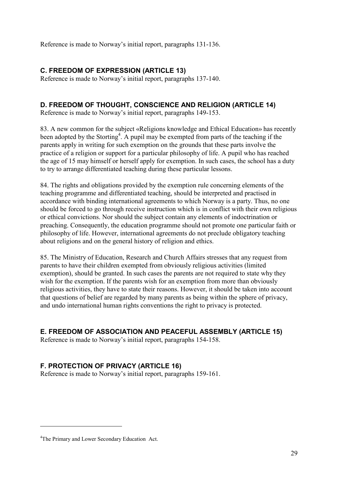Reference is made to Norway's initial report, paragraphs 131-136.

# **C. FREEDOM OF EXPRESSION (ARTICLE 13)**

Reference is made to Norway's initial report, paragraphs 137-140.

# **D. FREEDOM OF THOUGHT, CONSCIENCE AND RELIGION (ARTICLE 14)**

Reference is made to Norway's initial report, paragraphs 149-153.

83. A new common for the subject «Religions knowledge and Ethical Education» has recently been adopted by the Storting<sup>4</sup>. A pupil may be exempted from parts of the teaching if the parents apply in writing for such exemption on the grounds that these parts involve the practice of a religion or support for a particular philosophy of life. A pupil who has reached the age of 15 may himself or herself apply for exemption. In such cases, the school has a duty to try to arrange differentiated teaching during these particular lessons.

84. The rights and obligations provided by the exemption rule concerning elements of the teaching programme and differentiated teaching, should be interpreted and practised in accordance with binding international agreements to which Norway is a party. Thus, no one should be forced to go through receive instruction which is in conflict with their own religious or ethical convictions. Nor should the subject contain any elements of indoctrination or preaching. Consequently, the education programme should not promote one particular faith or philosophy of life. However, international agreements do not preclude obligatory teaching about religions and on the general history of religion and ethics.

85. The Ministry of Education, Research and Church Affairs stresses that any request from parents to have their children exempted from obviously religious activities (limited exemption), should be granted. In such cases the parents are not required to state why they wish for the exemption. If the parents wish for an exemption from more than obviously religious activities, they have to state their reasons. However, it should be taken into account that questions of belief are regarded by many parents as being within the sphere of privacy, and undo international human rights conventions the right to privacy is protected.

# **E. FREEDOM OF ASSOCIATION AND PEACEFUL ASSEMBLY (ARTICLE 15)**

Reference is made to Norway's initial report, paragraphs 154-158.

# **F. PROTECTION OF PRIVACY (ARTICLE 16)**

Reference is made to Norway's initial report, paragraphs 159-161.

 $\overline{a}$ 

<sup>4</sup>The Primary and Lower Secondary Education Act.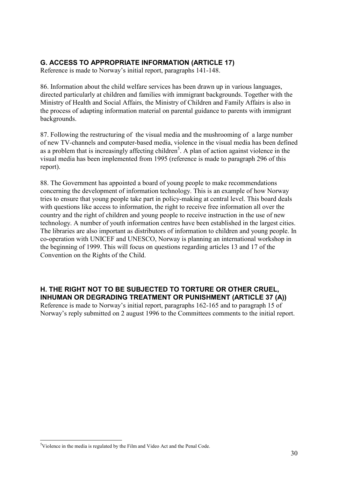# **G. ACCESS TO APPROPRIATE INFORMATION (ARTICLE 17)**

Reference is made to Norway's initial report, paragraphs 141-148.

86. Information about the child welfare services has been drawn up in various languages, directed particularly at children and families with immigrant backgrounds. Together with the Ministry of Health and Social Affairs, the Ministry of Children and Family Affairs is also in the process of adapting information material on parental guidance to parents with immigrant backgrounds.

87. Following the restructuring of the visual media and the mushrooming of a large number of new TV-channels and computer-based media, violence in the visual media has been defined as a problem that is increasingly affecting children<sup>5</sup>. A plan of action against violence in the visual media has been implemented from 1995 (reference is made to paragraph 296 of this report).

88. The Government has appointed a board of young people to make recommendations concerning the development of information technology. This is an example of how Norway tries to ensure that young people take part in policy-making at central level. This board deals with questions like access to information, the right to receive free information all over the country and the right of children and young people to receive instruction in the use of new technology. A number of youth information centres have been established in the largest cities. The libraries are also important as distributors of information to children and young people. In co-operation with UNICEF and UNESCO, Norway is planning an international workshop in the beginning of 1999. This will focus on questions regarding articles 13 and 17 of the Convention on the Rights of the Child.

# **H. THE RIGHT NOT TO BE SUBJECTED TO TORTURE OR OTHER CRUEL, INHUMAN OR DEGRADING TREATMENT OR PUNISHMENT (ARTICLE 37 (A))**

Reference is made to Norway's initial report, paragraphs 162-165 and to paragraph 15 of Norway's reply submitted on 2 august 1996 to the Committees comments to the initial report.

 $\overline{a}$ <sup>5</sup>Violence in the media is regulated by the Film and Video Act and the Penal Code.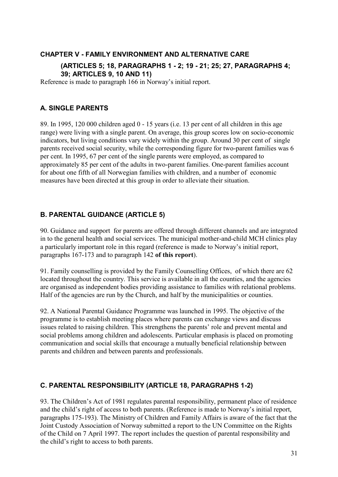# **CHAPTER V - FAMILY ENVIRONMENT AND ALTERNATIVE CARE**

### **(ARTICLES 5; 18, PARAGRAPHS 1 - 2; 19 - 21; 25; 27, PARAGRAPHS 4; 39; ARTICLES 9, 10 AND 11)**

Reference is made to paragraph 166 in Norway's initial report.

# **A. SINGLE PARENTS**

89. In 1995, 120 000 children aged 0 - 15 years (i.e. 13 per cent of all children in this age range) were living with a single parent. On average, this group scores low on socio-economic indicators, but living conditions vary widely within the group. Around 30 per cent of single parents received social security, while the corresponding figure for two-parent families was 6 per cent. In 1995, 67 per cent of the single parents were employed, as compared to approximately 85 per cent of the adults in two-parent families. One-parent families account for about one fifth of all Norwegian families with children, and a number of economic measures have been directed at this group in order to alleviate their situation.

# **B. PARENTAL GUIDANCE (ARTICLE 5)**

90. Guidance and support for parents are offered through different channels and are integrated in to the general health and social services. The municipal mother-and-child MCH clinics play a particularly important role in this regard (reference is made to Norway's initial report, paragraphs 167-173 and to paragraph 142 **of this report**).

91. Family counselling is provided by the Family Counselling Offices, of which there are 62 located throughout the country. This service is available in all the counties, and the agencies are organised as independent bodies providing assistance to families with relational problems. Half of the agencies are run by the Church, and half by the municipalities or counties.

92. A National Parental Guidance Programme was launched in 1995. The objective of the programme is to establish meeting places where parents can exchange views and discuss issues related to raising children. This strengthens the parents' role and prevent mental and social problems among children and adolescents. Particular emphasis is placed on promoting communication and social skills that encourage a mutually beneficial relationship between parents and children and between parents and professionals.

# **C. PARENTAL RESPONSIBILITY (ARTICLE 18, PARAGRAPHS 1-2)**

93. The Children's Act of 1981 regulates parental responsibility, permanent place of residence and the child's right of access to both parents. (Reference is made to Norway's initial report, paragraphs 175-193). The Ministry of Children and Family Affairs is aware of the fact that the Joint Custody Association of Norway submitted a report to the UN Committee on the Rights of the Child on 7 April 1997. The report includes the question of parental responsibility and the child's right to access to both parents.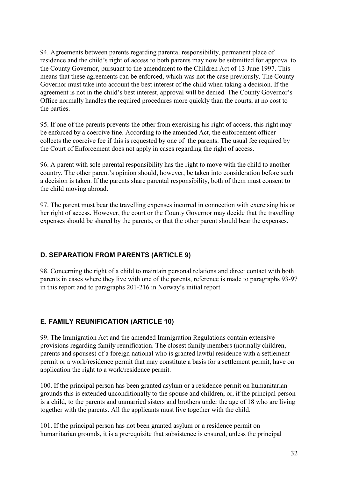94. Agreements between parents regarding parental responsibility, permanent place of residence and the child's right of access to both parents may now be submitted for approval to the County Governor, pursuant to the amendment to the Children Act of 13 June 1997. This means that these agreements can be enforced, which was not the case previously. The County Governor must take into account the best interest of the child when taking a decision. If the agreement is not in the child's best interest, approval will be denied. The County Governor's Office normally handles the required procedures more quickly than the courts, at no cost to the parties.

95. If one of the parents prevents the other from exercising his right of access, this right may be enforced by a coercive fine. According to the amended Act, the enforcement officer collects the coercive fee if this is requested by one of the parents. The usual fee required by the Court of Enforcement does not apply in cases regarding the right of access.

96. A parent with sole parental responsibility has the right to move with the child to another country. The other parent's opinion should, however, be taken into consideration before such a decision is taken. If the parents share parental responsibility, both of them must consent to the child moving abroad.

97. The parent must bear the travelling expenses incurred in connection with exercising his or her right of access. However, the court or the County Governor may decide that the travelling expenses should be shared by the parents, or that the other parent should bear the expenses.

# **D. SEPARATION FROM PARENTS (ARTICLE 9)**

98. Concerning the right of a child to maintain personal relations and direct contact with both parents in cases where they live with one of the parents, reference is made to paragraphs 93-97 in this report and to paragraphs 201-216 in Norway's initial report.

# **E. FAMILY REUNIFICATION (ARTICLE 10)**

99. The Immigration Act and the amended Immigration Regulations contain extensive provisions regarding family reunification. The closest family members (normally children, parents and spouses) of a foreign national who is granted lawful residence with a settlement permit or a work/residence permit that may constitute a basis for a settlement permit, have on application the right to a work/residence permit.

100. If the principal person has been granted asylum or a residence permit on humanitarian grounds this is extended unconditionally to the spouse and children, or, if the principal person is a child, to the parents and unmarried sisters and brothers under the age of 18 who are living together with the parents. All the applicants must live together with the child.

101. If the principal person has not been granted asylum or a residence permit on humanitarian grounds, it is a prerequisite that subsistence is ensured, unless the principal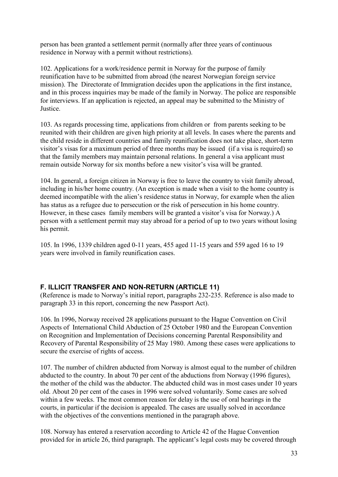person has been granted a settlement permit (normally after three years of continuous residence in Norway with a permit without restrictions).

102. Applications for a work/residence permit in Norway for the purpose of family reunification have to be submitted from abroad (the nearest Norwegian foreign service mission). The Directorate of Immigration decides upon the applications in the first instance, and in this process inquiries may be made of the family in Norway. The police are responsible for interviews. If an application is rejected, an appeal may be submitted to the Ministry of Justice.

103. As regards processing time, applications from children or from parents seeking to be reunited with their children are given high priority at all levels. In cases where the parents and the child reside in different countries and family reunification does not take place, short-term visitor's visas for a maximum period of three months may be issued (if a visa is required) so that the family members may maintain personal relations. In general a visa applicant must remain outside Norway for six months before a new visitor's visa will be granted.

104. In general, a foreign citizen in Norway is free to leave the country to visit family abroad, including in his/her home country. (An exception is made when a visit to the home country is deemed incompatible with the alien's residence status in Norway, for example when the alien has status as a refugee due to persecution or the risk of persecution in his home country. However, in these cases family members will be granted a visitor's visa for Norway.) A person with a settlement permit may stay abroad for a period of up to two years without losing his permit.

105. In 1996, 1339 children aged 0-11 years, 455 aged 11-15 years and 559 aged 16 to 19 years were involved in family reunification cases.

# **F. ILLICIT TRANSFER AND NON-RETURN (ARTICLE 11)**

(Reference is made to Norway's initial report, paragraphs 232-235. Reference is also made to paragraph 33 in this report, concerning the new Passport Act).

106. In 1996, Norway received 28 applications pursuant to the Hague Convention on Civil Aspects of International Child Abduction of 25 October 1980 and the European Convention on Recognition and Implementation of Decisions concerning Parental Responsibility and Recovery of Parental Responsibility of 25 May 1980. Among these cases were applications to secure the exercise of rights of access.

107. The number of children abducted from Norway is almost equal to the number of children abducted to the country. In about 70 per cent of the abductions from Norway (1996 figures), the mother of the child was the abductor. The abducted child was in most cases under 10 years old. About 20 per cent of the cases in 1996 were solved voluntarily. Some cases are solved within a few weeks. The most common reason for delay is the use of oral hearings in the courts, in particular if the decision is appealed. The cases are usually solved in accordance with the objectives of the conventions mentioned in the paragraph above.

108. Norway has entered a reservation according to Article 42 of the Hague Convention provided for in article 26, third paragraph. The applicant's legal costs may be covered through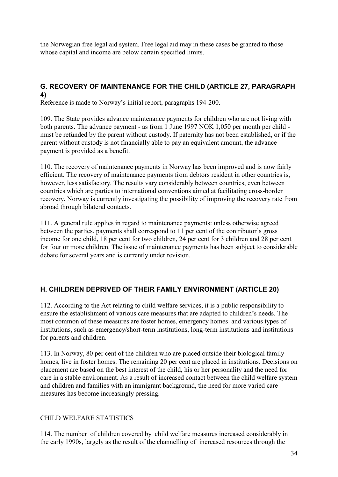the Norwegian free legal aid system. Free legal aid may in these cases be granted to those whose capital and income are below certain specified limits.

# **G. RECOVERY OF MAINTENANCE FOR THE CHILD (ARTICLE 27, PARAGRAPH 4)**

Reference is made to Norway's initial report, paragraphs 194-200.

109. The State provides advance maintenance payments for children who are not living with both parents. The advance payment - as from 1 June 1997 NOK 1,050 per month per child must be refunded by the parent without custody. If paternity has not been established, or if the parent without custody is not financially able to pay an equivalent amount, the advance payment is provided as a benefit.

110. The recovery of maintenance payments in Norway has been improved and is now fairly efficient. The recovery of maintenance payments from debtors resident in other countries is, however, less satisfactory. The results vary considerably between countries, even between countries which are parties to international conventions aimed at facilitating cross-border recovery. Norway is currently investigating the possibility of improving the recovery rate from abroad through bilateral contacts.

111. A general rule applies in regard to maintenance payments: unless otherwise agreed between the parties, payments shall correspond to 11 per cent of the contributor's gross income for one child, 18 per cent for two children, 24 per cent for 3 children and 28 per cent for four or more children. The issue of maintenance payments has been subject to considerable debate for several years and is currently under revision.

# **H. CHILDREN DEPRIVED OF THEIR FAMILY ENVIRONMENT (ARTICLE 20)**

112. According to the Act relating to child welfare services, it is a public responsibility to ensure the establishment of various care measures that are adapted to children's needs. The most common of these measures are foster homes, emergency homes and various types of institutions, such as emergency/short-term institutions, long-term institutions and institutions for parents and children.

113. In Norway, 80 per cent of the children who are placed outside their biological family homes, live in foster homes. The remaining 20 per cent are placed in institutions. Decisions on placement are based on the best interest of the child, his or her personality and the need for care in a stable environment. As a result of increased contact between the child welfare system and children and families with an immigrant background, the need for more varied care measures has become increasingly pressing.

### CHILD WELFARE STATISTICS

114. The number of children covered by child welfare measures increased considerably in the early 1990s, largely as the result of the channelling of increased resources through the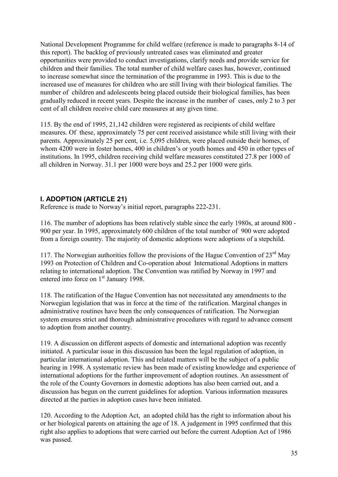National Development Programme for child welfare (reference is made to paragraphs 8-14 of this report). The backlog of previously untreated cases was eliminated and greater opportunities were provided to conduct investigations, clarify needs and provide service for children and their families. The total number of child welfare cases has, however, continued to increase somewhat since the termination of the programme in 1993. This is due to the increased use of measures for children who are still living with their biological families. The number of children and adolescents being placed outside their biological families, has been gradually reduced in recent years. Despite the increase in the number of cases, only 2 to 3 per cent of all children receive child care measures at any given time.

115. By the end of 1995, 21,142 children were registered as recipients of child welfare measures. Of these, approximately 75 per cent received assistance while still living with their parents. Approximately 25 per cent, i.e. 5,095 children, were placed outside their homes, of whom 4200 were in foster homes, 400 in children's or youth homes and 450 in other types of institutions. In 1995, children receiving child welfare measures constituted 27.8 per 1000 of all children in Norway. 31.1 per 1000 were boys and 25.2 per 1000 were girls.

# **I. ADOPTION (ARTICLE 21)**

Reference is made to Norway's initial report, paragraphs 222-231.

116. The number of adoptions has been relatively stable since the early 1980s, at around 800 - 900 per year. In 1995, approximately 600 children of the total number of 900 were adopted from a foreign country. The majority of domestic adoptions were adoptions of a stepchild.

117. The Norwegian authorities follow the provisions of the Hague Convention of  $23<sup>rd</sup>$  May 1993 on Protection of Children and Co-operation about International Adoptions in matters relating to international adoption. The Convention was ratified by Norway in 1997 and entered into force on 1<sup>st</sup> January 1998.

118. The ratification of the Hague Convention has not necessitated any amendments to the Norwegian legislation that was in force at the time of the ratification. Marginal changes in administrative routines have been the only consequences of ratification. The Norwegian system ensures strict and thorough administrative procedures with regard to advance consent to adoption from another country.

119. A discussion on different aspects of domestic and international adoption was recently initiated. A particular issue in this discussion has been the legal regulation of adoption, in particular international adoption. This and related matters will be the subject of a public hearing in 1998. A systematic review has been made of existing knowledge and experience of international adoptions for the further improvement of adoption routines. An assessment of the role of the County Governors in domestic adoptions has also been carried out, and a discussion has begun on the current guidelines for adoption. Various information measures directed at the parties in adoption cases have been initiated.

120. According to the Adoption Act, an adopted child has the right to information about his or her biological parents on attaining the age of 18. A judgement in 1995 confirmed that this right also applies to adoptions that were carried out before the current Adoption Act of 1986 was passed.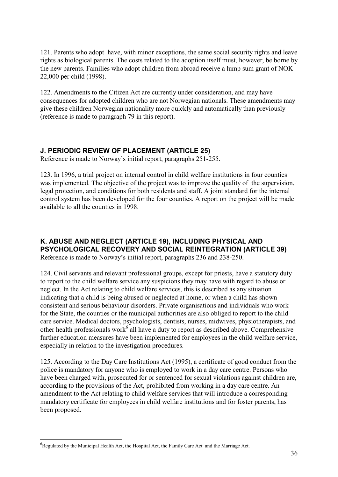121. Parents who adopt have, with minor exceptions, the same social security rights and leave rights as biological parents. The costs related to the adoption itself must, however, be borne by the new parents. Families who adopt children from abroad receive a lump sum grant of NOK 22,000 per child (1998).

122. Amendments to the Citizen Act are currently under consideration, and may have consequences for adopted children who are not Norwegian nationals. These amendments may give these children Norwegian nationality more quickly and automatically than previously (reference is made to paragraph 79 in this report).

## **J. PERIODIC REVIEW OF PLACEMENT (ARTICLE 25)**

Reference is made to Norway's initial report, paragraphs 251-255.

123. In 1996, a trial project on internal control in child welfare institutions in four counties was implemented. The objective of the project was to improve the quality of the supervision, legal protection, and conditions for both residents and staff. A joint standard for the internal control system has been developed for the four counties. A report on the project will be made available to all the counties in 1998.

# **K. ABUSE AND NEGLECT (ARTICLE 19), INCLUDING PHYSICAL AND PSYCHOLOGICAL RECOVERY AND SOCIAL REINTEGRATION (ARTICLE 39)**

Reference is made to Norway's initial report, paragraphs 236 and 238-250.

124. Civil servants and relevant professional groups, except for priests, have a statutory duty to report to the child welfare service any suspicions they may have with regard to abuse or neglect. In the Act relating to child welfare services, this is described as any situation indicating that a child is being abused or neglected at home, or when a child has shown consistent and serious behaviour disorders. Private organisations and individuals who work for the State, the counties or the municipal authorities are also obliged to report to the child care service. Medical doctors, psychologists, dentists, nurses, midwives, physiotherapists, and other health professionals work<sup>6</sup> all have a duty to report as described above. Comprehensive further education measures have been implemented for employees in the child welfare service, especially in relation to the investigation procedures.

125. According to the Day Care Institutions Act (1995), a certificate of good conduct from the police is mandatory for anyone who is employed to work in a day care centre. Persons who have been charged with, prosecuted for or sentenced for sexual violations against children are, according to the provisions of the Act, prohibited from working in a day care centre. An amendment to the Act relating to child welfare services that will introduce a corresponding mandatory certificate for employees in child welfare institutions and for foster parents, has been proposed.

 $\overline{a}$ 

 ${}^{6}$ Regulated by the Municipal Health Act, the Hospital Act, the Family Care Act and the Marriage Act.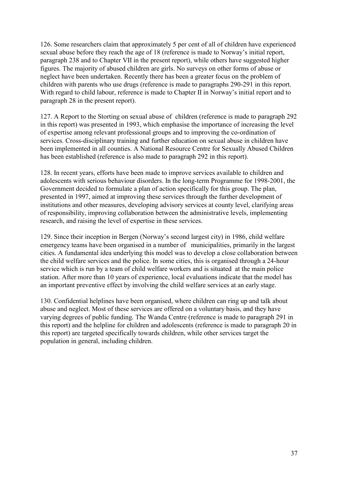126. Some researchers claim that approximately 5 per cent of all of children have experienced sexual abuse before they reach the age of 18 (reference is made to Norway's initial report, paragraph 238 and to Chapter VII in the present report), while others have suggested higher figures. The majority of abused children are girls. No surveys on other forms of abuse or neglect have been undertaken. Recently there has been a greater focus on the problem of children with parents who use drugs (reference is made to paragraphs 290-291 in this report. With regard to child labour, reference is made to Chapter II in Norway's initial report and to paragraph 28 in the present report).

127. A Report to the Storting on sexual abuse of children (reference is made to paragraph 292 in this report) was presented in 1993, which emphasise the importance of increasing the level of expertise among relevant professional groups and to improving the co-ordination of services. Cross-disciplinary training and further education on sexual abuse in children have been implemented in all counties. A National Resource Centre for Sexually Abused Children has been established (reference is also made to paragraph 292 in this report).

128. In recent years, efforts have been made to improve services available to children and adolescents with serious behaviour disorders. In the long-term Programme for 1998-2001, the Government decided to formulate a plan of action specifically for this group. The plan, presented in 1997, aimed at improving these services through the further development of institutions and other measures, developing advisory services at county level, clarifying areas of responsibility, improving collaboration between the administrative levels, implementing research, and raising the level of expertise in these services.

129. Since their inception in Bergen (Norway's second largest city) in 1986, child welfare emergency teams have been organised in a number of municipalities, primarily in the largest cities. A fundamental idea underlying this model was to develop a close collaboration between the child welfare services and the police. In some cities, this is organised through a 24-hour service which is run by a team of child welfare workers and is situated at the main police station. After more than 10 years of experience, local evaluations indicate that the model has an important preventive effect by involving the child welfare services at an early stage.

130. Confidential helplines have been organised, where children can ring up and talk about abuse and neglect. Most of these services are offered on a voluntary basis, and they have varying degrees of public funding. The Wanda Centre (reference is made to paragraph 291 in this report) and the helpline for children and adolescents (reference is made to paragraph 20 in this report) are targeted specifically towards children, while other services target the population in general, including children.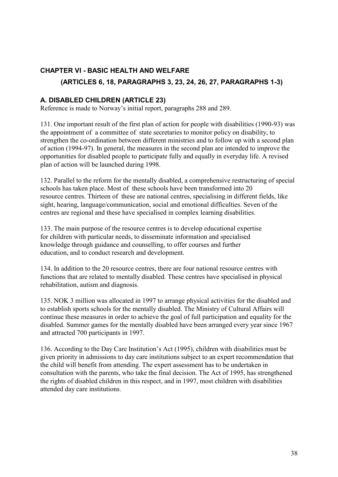# **CHAPTER VI - BASIC HEALTH AND WELFARE (ARTICLES 6, 18, PARAGRAPHS 3, 23, 24, 26, 27, PARAGRAPHS 1-3)**

#### **A. DISABLED CHILDREN (ARTICLE 23)**

Reference is made to Norway's initial report, paragraphs 288 and 289.

131. One important result of the first plan of action for people with disabilities (1990-93) was the appointment of a committee of state secretaries to monitor policy on disability, to strengthen the co-ordination between different ministries and to follow up with a second plan of action (1994-97). In general, the measures in the second plan are intended to improve the opportunities for disabled people to participate fully and equally in everyday life. A revised plan of action will be launched during 1998.

132. Parallel to the reform for the mentally disabled, a comprehensive restructuring of special schools has taken place. Most of these schools have been transformed into 20 resource centres. Thirteen of these are national centres, specialising in different fields, like sight, hearing, language/communication, social and emotional difficulties. Seven of the centres are regional and these have specialised in complex learning disabilities.

133. The main purpose of the resource centres is to develop educational expertise for children with particular needs, to disseminate information and specialised knowledge through guidance and counselling, to offer courses and further education, and to conduct research and development.

134. In addition to the 20 resource centres, there are four national resource centres with functions that are related to mentally disabled. These centres have specialised in physical rehabilitation, autism and diagnosis.

135. NOK 3 million was allocated in 1997 to arrange physical activities for the disabled and to establish sports schools for the mentally disabled. The Ministry of Cultural Affairs will continue these measures in order to achieve the goal of full participation and equality for the disabled. Summer games for the mentally disabled have been arranged every year since 1967 and attracted 700 participants in 1997.

136. According to the Day Care Institution's Act (1995), children with disabilities must be given priority in admissions to day care institutions subject to an expert recommendation that the child will benefit from attending. The expert assessment has to be undertaken in consultation with the parents, who take the final decision. The Act of 1995, has strengthened the rights of disabled children in this respect, and in 1997, most children with disabilities attended day care institutions.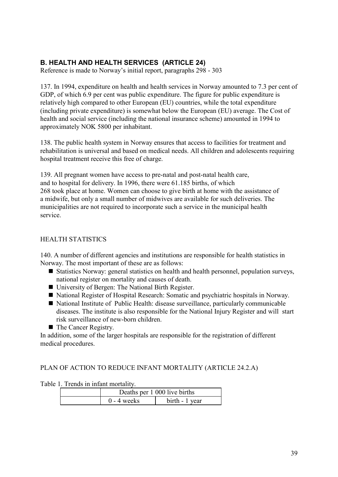# **B. HEALTH AND HEALTH SERVICES (ARTICLE 24)**

Reference is made to Norway's initial report, paragraphs 298 - 303

137. In 1994, expenditure on health and health services in Norway amounted to 7.3 per cent of GDP, of which 6.9 per cent was public expenditure. The figure for public expenditure is relatively high compared to other European (EU) countries, while the total expenditure (including private expenditure) is somewhat below the European (EU) average. The Cost of health and social service (including the national insurance scheme) amounted in 1994 to approximately NOK 5800 per inhabitant.

138. The public health system in Norway ensures that access to facilities for treatment and rehabilitation is universal and based on medical needs. All children and adolescents requiring hospital treatment receive this free of charge.

139. All pregnant women have access to pre-natal and post-natal health care, and to hospital for delivery. In 1996, there were 61.185 births, of which 268 took place at home. Women can choose to give birth at home with the assistance of a midwife, but only a small number of midwives are available for such deliveries. The municipalities are not required to incorporate such a service in the municipal health service.

## HEALTH STATISTICS

140. A number of different agencies and institutions are responsible for health statistics in Norway. The most important of these are as follows:

- Statistics Norway: general statistics on health and health personnel, population surveys, national register on mortality and causes of death.
- University of Bergen: The National Birth Register.
- National Register of Hospital Research: Somatic and psychiatric hospitals in Norway.
- National Institute of Public Health: disease surveillance, particularly communicable diseases. The institute is also responsible for the National Injury Register and will start risk surveillance of new-born children.
- The Cancer Registry.

In addition, some of the larger hospitals are responsible for the registration of different medical procedures.

PLAN OF ACTION TO REDUCE INFANT MORTALITY (ARTICLE 24.2.A)

Table 1. Trends in infant mortality.

|  | Deaths per 1 000 live births |                |
|--|------------------------------|----------------|
|  | $0 - 4$ weeks                | birth - 1 year |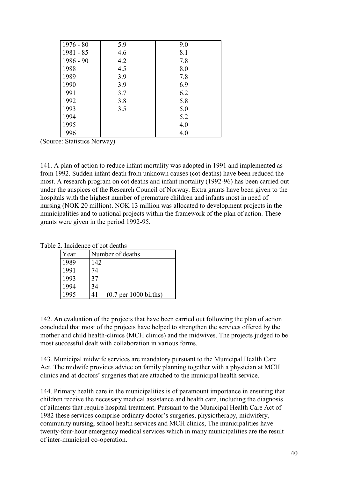| $1976 - 80$ | 5.9 | 9.0 |
|-------------|-----|-----|
| 1981 - 85   | 4.6 | 8.1 |
| $1986 - 90$ | 4.2 | 7.8 |
| 1988        | 4.5 | 8.0 |
| 1989        | 3.9 | 7.8 |
| 1990        | 3.9 | 6.9 |
| 1991        | 3.7 | 6.2 |
| 1992        | 3.8 | 5.8 |
| 1993        | 3.5 | 5.0 |
| 1994        |     | 5.2 |
| 1995        |     | 4.0 |
| 1996        |     | 4.0 |

(Source: Statistics Norway)

141. A plan of action to reduce infant mortality was adopted in 1991 and implemented as from 1992. Sudden infant death from unknown causes (cot deaths) have been reduced the most. A research program on cot deaths and infant mortality (1992-96) has been carried out under the auspices of the Research Council of Norway. Extra grants have been given to the hospitals with the highest number of premature children and infants most in need of nursing (NOK 20 million). NOK 13 million was allocated to development projects in the municipalities and to national projects within the framework of the plan of action. These grants were given in the period 1992-95.

Table 2. Incidence of cot deaths

| Year | Number of deaths              |  |
|------|-------------------------------|--|
| 1989 | 142                           |  |
| 1991 | 74                            |  |
| 1993 | 37                            |  |
| 1994 | 34                            |  |
|      | $(0.7$ per 1000 births)<br>41 |  |

142. An evaluation of the projects that have been carried out following the plan of action concluded that most of the projects have helped to strengthen the services offered by the mother and child health-clinics (MCH clinics) and the midwives. The projects judged to be most successful dealt with collaboration in various forms.

143. Municipal midwife services are mandatory pursuant to the Municipal Health Care Act. The midwife provides advice on family planning together with a physician at MCH clinics and at doctors' surgeries that are attached to the municipal health service.

144. Primary health care in the municipalities is of paramount importance in ensuring that children receive the necessary medical assistance and health care, including the diagnosis of ailments that require hospital treatment. Pursuant to the Municipal Health Care Act of 1982 these services comprise ordinary doctor's surgeries, physiotherapy, midwifery, community nursing, school health services and MCH clinics, The municipalities have twenty-four-hour emergency medical services which in many municipalities are the result of inter-municipal co-operation.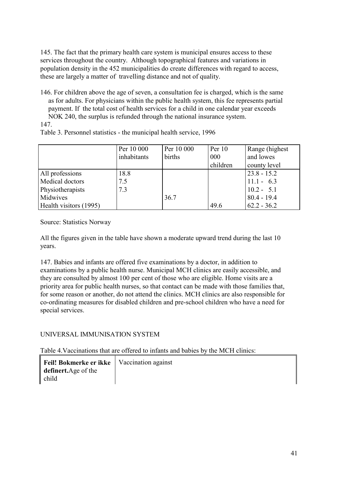145. The fact that the primary health care system is municipal ensures access to these services throughout the country. Although topographical features and variations in population density in the 452 municipalities do create differences with regard to access, these are largely a matter of travelling distance and not of quality.

146. For children above the age of seven, a consultation fee is charged, which is the same as for adults. For physicians within the public health system, this fee represents partial payment. If the total cost of health services for a child in one calendar year exceeds NOK 240, the surplus is refunded through the national insurance system.

147.

| Table 3. Personnel statistics - the municipal health service, 1996 |  |  |
|--------------------------------------------------------------------|--|--|
|                                                                    |  |  |

|                        | Per 10 000  | Per 10 000 | Per $10$ | Range (highest) |
|------------------------|-------------|------------|----------|-----------------|
|                        | inhabitants | births     | 000      | and lowes       |
|                        |             |            | children | county level    |
| All professions        | 18.8        |            |          | $23.8 - 15.2$   |
| Medical doctors        | 7.5         |            |          | $11.1 - 6.3$    |
| Physiotherapists       | 7.3         |            |          | $10.2 - 5.1$    |
| Midwives               |             | 36.7       |          | $80.4 - 19.4$   |
| Health visitors (1995) |             |            | 49.6     | $62.2 - 36.2$   |

Source: Statistics Norway

All the figures given in the table have shown a moderate upward trend during the last 10 years.

147. Babies and infants are offered five examinations by a doctor, in addition to examinations by a public health nurse. Municipal MCH clinics are easily accessible, and they are consulted by almost 100 per cent of those who are eligible. Home visits are a priority area for public health nurses, so that contact can be made with those families that, for some reason or another, do not attend the clinics. MCH clinics are also responsible for co-ordinating measures for disabled children and pre-school children who have a need for special services.

## UNIVERSAL IMMUNISATION SYSTEM

Table 4.Vaccinations that are offered to infants and babies by the MCH clinics:

| Feil! Bokmerke er ikke   Vaccination against |  |
|----------------------------------------------|--|
| definert. Age of the                         |  |
| child                                        |  |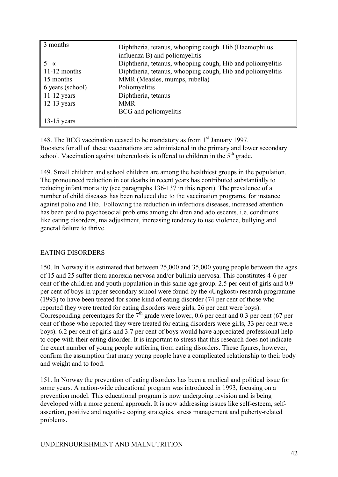| 3 months         | Diphtheria, tetanus, whooping cough. Hib (Haemophilus<br>influenza B) and poliomyelitis |
|------------------|-----------------------------------------------------------------------------------------|
| $\vee$           | Diphtheria, tetanus, whooping cough, Hib and poliomyelitis                              |
| $11-12$ months   | Diphtheria, tetanus, whooping cough, Hib and poliomyelitis                              |
| 15 months        | MMR (Measles, mumps, rubella)                                                           |
| 6 years (school) | Poliomyelitis                                                                           |
| $11-12$ years    | Diphtheria, tetanus                                                                     |
| $12-13$ years    | <b>MMR</b>                                                                              |
|                  | BCG and poliomyelitis                                                                   |
| $13-15$ years    |                                                                                         |

148. The BCG vaccination ceased to be mandatory as from 1<sup>st</sup> January 1997. Boosters for all of these vaccinations are administered in the primary and lower secondary school. Vaccination against tuberculosis is offered to children in the  $5<sup>th</sup>$  grade.

149. Small children and school children are among the healthiest groups in the population. The pronounced reduction in cot deaths in recent years has contributed substantially to reducing infant mortality (see paragraphs 136-137 in this report). The prevalence of a number of child diseases has been reduced due to the vaccination programs, for instance against polio and Hib. Following the reduction in infectious diseases, increased attention has been paid to psychosocial problems among children and adolescents, i.e. conditions like eating disorders, maladjustment, increasing tendency to use violence, bullying and general failure to thrive.

#### EATING DISORDERS

150. In Norway it is estimated that between 25,000 and 35,000 young people between the ages of 15 and 25 suffer from anorexia nervosa and/or bulimia nervosa. This constitutes 4-6 per cent of the children and youth population in this same age group. 2.5 per cent of girls and 0.9 per cent of boys in upper secondary school were found by the «Ungkost» research programme (1993) to have been treated for some kind of eating disorder (74 per cent of those who reported they were treated for eating disorders were girls, 26 per cent were boys). Corresponding percentages for the  $7<sup>th</sup>$  grade were lower, 0.6 per cent and 0.3 per cent (67 per cent of those who reported they were treated for eating disorders were girls, 33 per cent were boys). 6.2 per cent of girls and 3.7 per cent of boys would have appreciated professional help to cope with their eating disorder. It is important to stress that this research does not indicate the exact number of young people suffering from eating disorders. These figures, however, confirm the assumption that many young people have a complicated relationship to their body and weight and to food.

151. In Norway the prevention of eating disorders has been a medical and political issue for some years. A nation-wide educational program was introduced in 1993, focusing on a prevention model. This educational program is now undergoing revision and is being developed with a more general approach. It is now addressing issues like self-esteem, selfassertion, positive and negative coping strategies, stress management and puberty-related problems.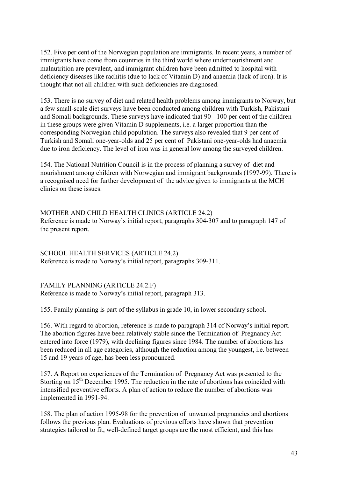152. Five per cent of the Norwegian population are immigrants. In recent years, a number of immigrants have come from countries in the third world where undernourishment and malnutrition are prevalent, and immigrant children have been admitted to hospital with deficiency diseases like rachitis (due to lack of Vitamin D) and anaemia (lack of iron). It is thought that not all children with such deficiencies are diagnosed.

153. There is no survey of diet and related health problems among immigrants to Norway, but a few small-scale diet surveys have been conducted among children with Turkish, Pakistani and Somali backgrounds. These surveys have indicated that 90 - 100 per cent of the children in these groups were given Vitamin D supplements, i.e. a larger proportion than the corresponding Norwegian child population. The surveys also revealed that 9 per cent of Turkish and Somali one-year-olds and 25 per cent of Pakistani one-year-olds had anaemia due to iron deficiency. The level of iron was in general low among the surveyed children.

154. The National Nutrition Council is in the process of planning a survey of diet and nourishment among children with Norwegian and immigrant backgrounds (1997-99). There is a recognised need for further development of the advice given to immigrants at the MCH clinics on these issues.

MOTHER AND CHILD HEALTH CLINICS (ARTICLE 24.2) Reference is made to Norway's initial report, paragraphs 304-307 and to paragraph 147 of the present report.

SCHOOL HEALTH SERVICES (ARTICLE 24.2) Reference is made to Norway's initial report, paragraphs 309-311.

FAMILY PLANNING (ARTICLE 24.2.F) Reference is made to Norway's initial report, paragraph 313.

155. Family planning is part of the syllabus in grade 10, in lower secondary school.

156. With regard to abortion, reference is made to paragraph 314 of Norway's initial report. The abortion figures have been relatively stable since the Termination of Pregnancy Act entered into force (1979), with declining figures since 1984. The number of abortions has been reduced in all age categories, although the reduction among the youngest, i.e. between 15 and 19 years of age, has been less pronounced.

157. A Report on experiences of the Termination of Pregnancy Act was presented to the Storting on  $15<sup>th</sup>$  December 1995. The reduction in the rate of abortions has coincided with intensified preventive efforts. A plan of action to reduce the number of abortions was implemented in 1991-94.

158. The plan of action 1995-98 for the prevention of unwanted pregnancies and abortions follows the previous plan. Evaluations of previous efforts have shown that prevention strategies tailored to fit, well-defined target groups are the most efficient, and this has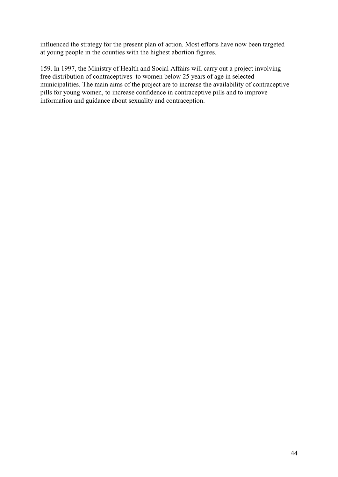influenced the strategy for the present plan of action. Most efforts have now been targeted at young people in the counties with the highest abortion figures.

159. In 1997, the Ministry of Health and Social Affairs will carry out a project involving free distribution of contraceptives to women below 25 years of age in selected municipalities. The main aims of the project are to increase the availability of contraceptive pills for young women, to increase confidence in contraceptive pills and to improve information and guidance about sexuality and contraception.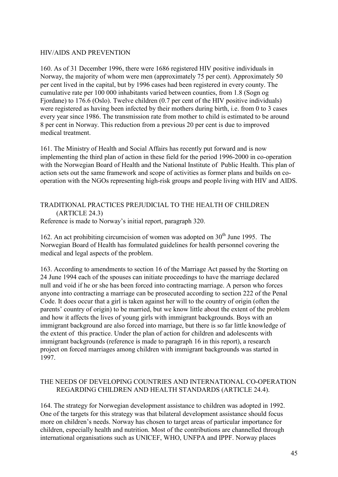#### HIV/AIDS AND PREVENTION

160. As of 31 December 1996, there were 1686 registered HIV positive individuals in Norway, the majority of whom were men (approximately 75 per cent). Approximately 50 per cent lived in the capital, but by 1996 cases had been registered in every county. The cumulative rate per 100 000 inhabitants varied between counties, from 1.8 (Sogn og Fjordane) to 176.6 (Oslo). Twelve children (0.7 per cent of the HIV positive individuals) were registered as having been infected by their mothers during birth, i.e. from 0 to 3 cases every year since 1986. The transmission rate from mother to child is estimated to be around 8 per cent in Norway. This reduction from a previous 20 per cent is due to improved medical treatment.

161. The Ministry of Health and Social Affairs has recently put forward and is now implementing the third plan of action in these field for the period 1996-2000 in co-operation with the Norwegian Board of Health and the National Institute of Public Health. This plan of action sets out the same framework and scope of activities as former plans and builds on cooperation with the NGOs representing high-risk groups and people living with HIV and AIDS.

#### TRADITIONAL PRACTICES PREJUDICIAL TO THE HEALTH OF CHILDREN (ARTICLE 24.3) Reference is made to Norway's initial report, paragraph 320.

162. An act prohibiting circumcision of women was adopted on  $30<sup>th</sup>$  June 1995. The Norwegian Board of Health has formulated guidelines for health personnel covering the medical and legal aspects of the problem.

163. According to amendments to section 16 of the Marriage Act passed by the Storting on 24 June 1994 each of the spouses can initiate proceedings to have the marriage declared null and void if he or she has been forced into contracting marriage. A person who forces anyone into contracting a marriage can be prosecuted according to section 222 of the Penal Code. It does occur that a girl is taken against her will to the country of origin (often the parents' country of origin) to be married, but we know little about the extent of the problem and how it affects the lives of young girls with immigrant backgrounds. Boys with an immigrant background are also forced into marriage, but there is so far little knowledge of the extent of this practice. Under the plan of action for children and adolescents with immigrant backgrounds (reference is made to paragraph 16 in this report), a research project on forced marriages among children with immigrant backgrounds was started in 1997.

#### THE NEEDS OF DEVELOPING COUNTRIES AND INTERNATIONAL CO-OPERATION REGARDING CHILDREN AND HEALTH STANDARDS (ARTICLE 24.4).

164. The strategy for Norwegian development assistance to children was adopted in 1992. One of the targets for this strategy was that bilateral development assistance should focus more on children's needs. Norway has chosen to target areas of particular importance for children, especially health and nutrition. Most of the contributions are channelled through international organisations such as UNICEF, WHO, UNFPA and IPPF. Norway places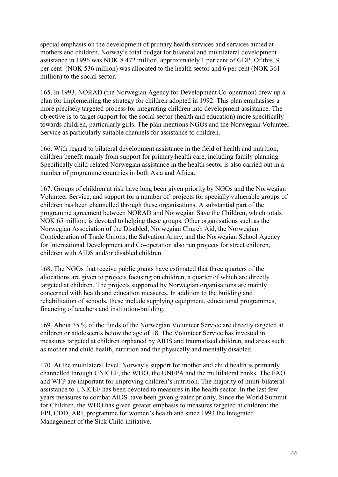special emphasis on the development of primary health services and services aimed at mothers and children. Norway's total budget for bilateral and multilateral development assistance in 1996 was NOK 8 472 million, approximately 1 per cent of GDP. Of this, 9 per cent (NOK 536 million) was allocated to the health sector and 6 per cent (NOK 361 million) to the social sector.

165. In 1993, NORAD (the Norwegian Agency for Development Co-operation) drew up a plan for implementing the strategy for children adopted in 1992. This plan emphasises a more precisely targeted process for integrating children into development assistance. The objective is to target support for the social sector (health and education) more specifically towards children, particularly girls. The plan mentions NGOs and the Norwegian Volunteer Service as particularly suitable channels for assistance to children.

166. With regard to bilateral development assistance in the field of health and nutrition, children benefit mainly from support for primary health care, including family planning. Specifically child-related Norwegian assistance in the health sector is also carried out in a number of programme countries in both Asia and Africa.

167. Groups of children at risk have long been given priority by NGOs and the Norwegian Volunteer Service, and support for a number of projects for specially vulnerable groups of children has been channelled through these organisations. A substantial part of the programme agreement between NORAD and Norwegian Save the Children, which totals NOK 65 million, is devoted to helping these groups. Other organisations such as the Norwegian Association of the Disabled, Norwegian Church Aid, the Norwegian Confederation of Trade Unions, the Salvation Army, and the Norwegian School Agency for International Development and Co-operation also run projects for street children, children with AIDS and/or disabled children.

168. The NGOs that receive public grants have estimated that three quarters of the allocations are given to projects focusing on children, a quarter of which are directly targeted at children. The projects supported by Norwegian organisations are mainly concerned with health and education measures. In addition to the building and rehabilitation of schools, these include supplying equipment, educational programmes, financing of teachers and institution-building.

169. About 35 % of the funds of the Norwegian Volunteer Service are directly targeted at children or adolescents below the age of 18. The Volunteer Service has invested in measures targeted at children orphaned by AIDS and traumatised children, and areas such as mother and child health, nutrition and the physically and mentally disabled.

170. At the multilateral level, Norway's support for mother and child health is primarily channelled through UNICEF, the WHO, the UNFPA and the multilateral banks. The FAO and WFP are important for improving children's nutrition. The majority of multi-bilateral assistance to UNICEF has been devoted to measures in the health sector. In the last few years measures to combat AIDS have been given greater priority. Since the World Summit for Children, the WHO has given greater emphasis to measures targeted at children: the EPI, CDD, ARI, programme for women's health and since 1993 the Integrated Management of the Sick Child initiative.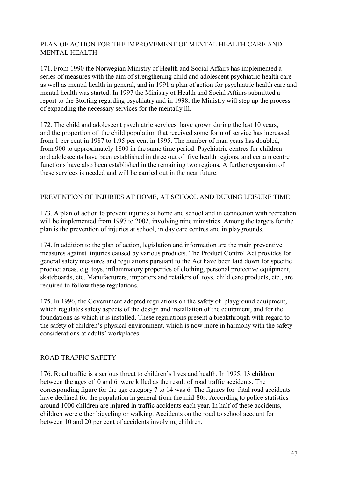#### PLAN OF ACTION FOR THE IMPROVEMENT OF MENTAL HEALTH CARE AND MENTAL HEALTH

171. From 1990 the Norwegian Ministry of Health and Social Affairs has implemented a series of measures with the aim of strengthening child and adolescent psychiatric health care as well as mental health in general, and in 1991 a plan of action for psychiatric health care and mental health was started. In 1997 the Ministry of Health and Social Affairs submitted a report to the Storting regarding psychiatry and in 1998, the Ministry will step up the process of expanding the necessary services for the mentally ill.

172. The child and adolescent psychiatric services have grown during the last 10 years, and the proportion of the child population that received some form of service has increased from 1 per cent in 1987 to 1.95 per cent in 1995. The number of man years has doubled, from 900 to approximately 1800 in the same time period. Psychiatric centres for children and adolescents have been established in three out of five health regions, and certain centre functions have also been established in the remaining two regions. A further expansion of these services is needed and will be carried out in the near future.

#### PREVENTION OF INJURIES AT HOME, AT SCHOOL AND DURING LEISURE TIME

173. A plan of action to prevent injuries at home and school and in connection with recreation will be implemented from 1997 to 2002, involving nine ministries. Among the targets for the plan is the prevention of injuries at school, in day care centres and in playgrounds.

174. In addition to the plan of action, legislation and information are the main preventive measures against injuries caused by various products. The Product Control Act provides for general safety measures and regulations pursuant to the Act have been laid down for specific product areas, e.g. toys, inflammatory properties of clothing, personal protective equipment, skateboards, etc. Manufacturers, importers and retailers of toys, child care products, etc., are required to follow these regulations.

175. In 1996, the Government adopted regulations on the safety of playground equipment, which regulates safety aspects of the design and installation of the equipment, and for the foundations as which it is installed. These regulations present a breakthrough with regard to the safety of children's physical environment, which is now more in harmony with the safety considerations at adults' workplaces.

#### ROAD TRAFFIC SAFETY

176. Road traffic is a serious threat to children's lives and health. In 1995, 13 children between the ages of 0 and 6 were killed as the result of road traffic accidents. The corresponding figure for the age category 7 to 14 was 6. The figures for fatal road accidents have declined for the population in general from the mid-80s. According to police statistics around 1000 children are injured in traffic accidents each year. In half of these accidents, children were either bicycling or walking. Accidents on the road to school account for between 10 and 20 per cent of accidents involving children.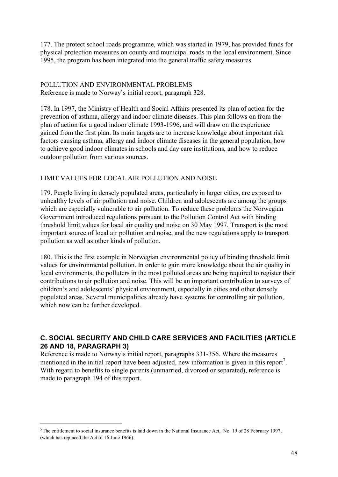177. The protect school roads programme, which was started in 1979, has provided funds for physical protection measures on county and municipal roads in the local environment. Since 1995, the program has been integrated into the general traffic safety measures.

#### POLLUTION AND ENVIRONMENTAL PROBLEMS Reference is made to Norway's initial report, paragraph 328.

178. In 1997, the Ministry of Health and Social Affairs presented its plan of action for the prevention of asthma, allergy and indoor climate diseases. This plan follows on from the plan of action for a good indoor climate 1993-1996, and will draw on the experience gained from the first plan. Its main targets are to increase knowledge about important risk factors causing asthma, allergy and indoor climate diseases in the general population, how to achieve good indoor climates in schools and day care institutions, and how to reduce outdoor pollution from various sources.

#### LIMIT VALUES FOR LOCAL AIR POLLUTION AND NOISE

179. People living in densely populated areas, particularly in larger cities, are exposed to unhealthy levels of air pollution and noise. Children and adolescents are among the groups which are especially vulnerable to air pollution. To reduce these problems the Norwegian Government introduced regulations pursuant to the Pollution Control Act with binding threshold limit values for local air quality and noise on 30 May 1997. Transport is the most important source of local air pollution and noise, and the new regulations apply to transport pollution as well as other kinds of pollution.

180. This is the first example in Norwegian environmental policy of binding threshold limit values for environmental pollution. In order to gain more knowledge about the air quality in local environments, the polluters in the most polluted areas are being required to register their contributions to air pollution and noise. This will be an important contribution to surveys of children's and adolescents' physical environment, especially in cities and other densely populated areas. Several municipalities already have systems for controlling air pollution, which now can be further developed.

#### **C. SOCIAL SECURITY AND CHILD CARE SERVICES AND FACILITIES (ARTICLE 26 AND 18, PARAGRAPH 3)**

Reference is made to Norway's initial report, paragraphs 331-356. Where the measures mentioned in the initial report have been adjusted, new information is given in this report<sup>7</sup>. With regard to benefits to single parents (unmarried, divorced or separated), reference is made to paragraph 194 of this report.

 $\overline{a}$ 

<sup>7</sup>The entitlement to social insurance benefits is laid down in the National Insurance Act, No. 19 of 28 February 1997, (which has replaced the Act of 16 June 1966).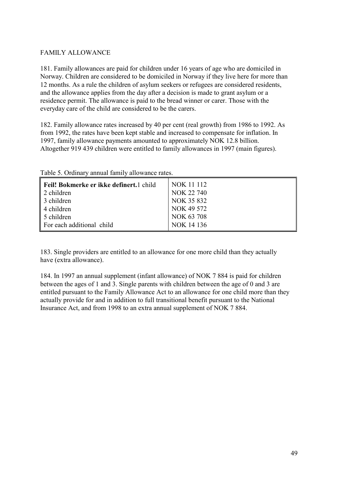#### FAMILY ALLOWANCE

181. Family allowances are paid for children under 16 years of age who are domiciled in Norway. Children are considered to be domiciled in Norway if they live here for more than 12 months. As a rule the children of asylum seekers or refugees are considered residents, and the allowance applies from the day after a decision is made to grant asylum or a residence permit. The allowance is paid to the bread winner or carer. Those with the everyday care of the child are considered to be the carers.

182. Family allowance rates increased by 40 per cent (real growth) from 1986 to 1992. As from 1992, the rates have been kept stable and increased to compensate for inflation. In 1997, family allowance payments amounted to approximately NOK 12.8 billion. Altogether 919 439 children were entitled to family allowances in 1997 (main figures).

| Feil! Bokmerke er ikke definert.1 child | NOK 11 112 |
|-----------------------------------------|------------|
| 2 children                              | NOK 22 740 |
| 3 children                              | NOK 35 832 |
| 4 children                              | NOK 49 572 |
| 5 children                              | NOK 63 708 |
| For each additional child               | NOK 14 136 |

Table 5. Ordinary annual family allowance rates.

183. Single providers are entitled to an allowance for one more child than they actually have (extra allowance).

184. In 1997 an annual supplement (infant allowance) of NOK 7 884 is paid for children between the ages of 1 and 3. Single parents with children between the age of 0 and 3 are entitled pursuant to the Family Allowance Act to an allowance for one child more than they actually provide for and in addition to full transitional benefit pursuant to the National Insurance Act, and from 1998 to an extra annual supplement of NOK 7 884.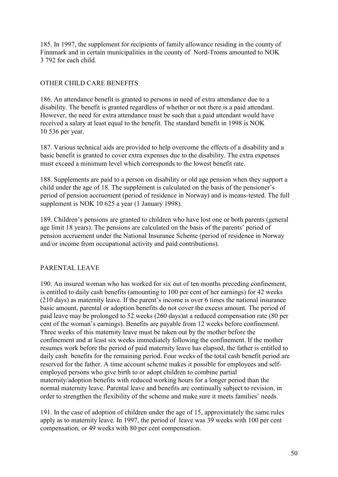185. In 1997, the supplement for recipients of family allowance residing in the county of Finnmark and in certain municipalities in the county of Nord-Troms amounted to NOK 3 792 for each child.

## OTHER CHILD CARE BENEFITS

186. An attendance benefit is granted to persons in need of extra attendance due to a disability. The benefit is granted regardless of whether or not there is a paid attendant. However, the need for extra attendance must be such that a paid attendant would have received a salary at least equal to the benefit. The standard benefit in 1998 is NOK 10 536 per year.

187. Various technical aids are provided to help overcome the effects of a disability and a basic benefit is granted to cover extra expenses due to the disability. The extra expenses must exceed a minimum level which corresponds to the lowest benefit rate.

188. Supplements are paid to a person on disability or old age pension when they support a child under the age of 18. The supplement is calculated on the basis of the pensioner's period of pension accruement (period of residence in Norway) and is means-tested. The full supplement is NOK 10 625 a year (1 January 1998).

189. Children's pensions are granted to children who have lost one or both parents (general age limit 18 years). The pensions are calculated on the basis of the parents' period of pension accruement under the National Insurance Scheme (period of residence in Norway and/or income from occupational activity and paid contributions).

## PARENTAL LEAVE

190. An insured woman who has worked for six out of ten months preceding confinement, is entitled to daily cash benefits (amounting to 100 per cent of her earnings) for 42 weeks (210 days) as maternity leave. If the parent's income is over 6 times the national insurance basic amount, parental or adoption benefits do not cover the excess amount. The period of paid leave may be prolonged to 52 weeks (260 days)at a reduced compensation rate (80 per cent of the woman's earnings). Benefits are payable from 12 weeks before confinement. Three weeks of this maternity leave must be taken out by the mother before the confinement and at least six weeks immediately following the confinement. If the mother resumes work before the period of paid maternity leave has elapsed, the father is entitled to daily cash benefits for the remaining period. Four weeks of the total cash benefit period are reserved for the father. A time account scheme makes it possible for employees and selfemployed persons who give birth to or adopt children to combine partial maternity/adoption benefits with reduced working hours for a longer period than the normal maternity leave. Parental leave and benefits are continually subject to revision, in order to strengthen the flexibility of the scheme and make sure it meets families' needs.

191. In the case of adoption of children under the age of 15, approximately the same rules apply as to maternity leave. In 1997, the period of leave was 39 weeks with 100 per cent compensation, or 49 weeks with 80 per cent compensation.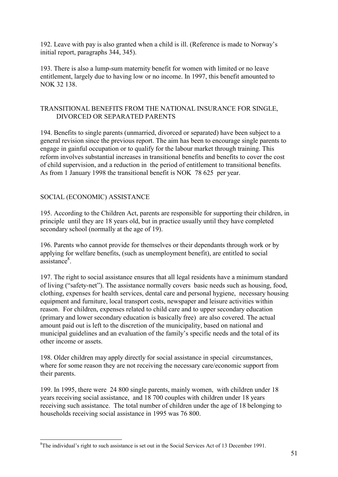192. Leave with pay is also granted when a child is ill. (Reference is made to Norway's initial report, paragraphs 344, 345).

193. There is also a lump-sum maternity benefit for women with limited or no leave entitlement, largely due to having low or no income. In 1997, this benefit amounted to NOK 32 138.

#### TRANSITIONAL BENEFITS FROM THE NATIONAL INSURANCE FOR SINGLE, DIVORCED OR SEPARATED PARENTS

194. Benefits to single parents (unmarried, divorced or separated) have been subject to a general revision since the previous report. The aim has been to encourage single parents to engage in gainful occupation or to qualify for the labour market through training. This reform involves substantial increases in transitional benefits and benefits to cover the cost of child supervision, and a reduction in the period of entitlement to transitional benefits. As from 1 January 1998 the transitional benefit is NOK 78 625 per year.

#### SOCIAL (ECONOMIC) ASSISTANCE

 $\overline{a}$ 

195. According to the Children Act, parents are responsible for supporting their children, in principle until they are 18 years old, but in practice usually until they have completed secondary school (normally at the age of 19).

196. Parents who cannot provide for themselves or their dependants through work or by applying for welfare benefits, (such as unemployment benefit), are entitled to social assistance<sup>8</sup>.

197. The right to social assistance ensures that all legal residents have a minimum standard of living ("safety-net"). The assistance normally covers basic needs such as housing, food, clothing, expenses for health services, dental care and personal hygiene, necessary housing equipment and furniture, local transport costs, newspaper and leisure activities within reason. For children, expenses related to child care and to upper secondary education (primary and lower secondary education is basically free) are also covered. The actual amount paid out is left to the discretion of the municipality, based on national and municipal guidelines and an evaluation of the family's specific needs and the total of its other income or assets.

198. Older children may apply directly for social assistance in special circumstances, where for some reason they are not receiving the necessary care/economic support from their parents.

199. In 1995, there were 24 800 single parents, mainly women, with children under 18 years receiving social assistance, and 18 700 couples with children under 18 years receiving such assistance. The total number of children under the age of 18 belonging to households receiving social assistance in 1995 was 76 800.

<sup>&</sup>lt;sup>8</sup>The individual's right to such assistance is set out in the Social Services Act of 13 December 1991.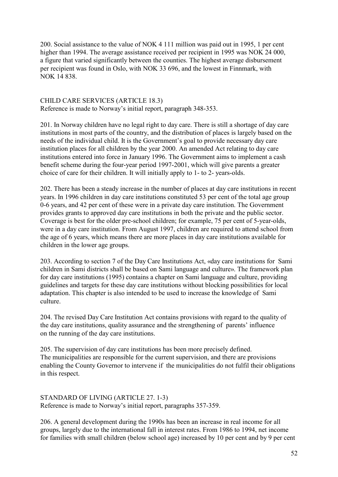200. Social assistance to the value of NOK 4 111 million was paid out in 1995, 1 per cent higher than 1994. The average assistance received per recipient in 1995 was NOK 24 000, a figure that varied significantly between the counties. The highest average disbursement per recipient was found in Oslo, with NOK 33 696, and the lowest in Finnmark, with NOK 14 838.

#### CHILD CARE SERVICES (ARTICLE 18.3)

Reference is made to Norway's initial report, paragraph 348-353.

201. In Norway children have no legal right to day care. There is still a shortage of day care institutions in most parts of the country, and the distribution of places is largely based on the needs of the individual child. It is the Government's goal to provide necessary day care institution places for all children by the year 2000. An amended Act relating to day care institutions entered into force in January 1996. The Government aims to implement a cash benefit scheme during the four-year period 1997-2001, which will give parents a greater choice of care for their children. It will initially apply to 1- to 2- years-olds.

202. There has been a steady increase in the number of places at day care institutions in recent years. In 1996 children in day care institutions constituted 53 per cent of the total age group 0-6 years, and 42 per cent of these were in a private day care institution. The Government provides grants to approved day care institutions in both the private and the public sector. Coverage is best for the older pre-school children; for example, 75 per cent of 5-year-olds, were in a day care institution. From August 1997, children are required to attend school from the age of 6 years, which means there are more places in day care institutions available for children in the lower age groups.

203. According to section 7 of the Day Care Institutions Act, «day care institutions for Sami children in Sami districts shall be based on Sami language and culture». The framework plan for day care institutions (1995) contains a chapter on Sami language and culture, providing guidelines and targets for these day care institutions without blocking possibilities for local adaptation. This chapter is also intended to be used to increase the knowledge of Sami culture.

204. The revised Day Care Institution Act contains provisions with regard to the quality of the day care institutions, quality assurance and the strengthening of parents' influence on the running of the day care institutions.

205. The supervision of day care institutions has been more precisely defined. The municipalities are responsible for the current supervision, and there are provisions enabling the County Governor to intervene if the municipalities do not fulfil their obligations in this respect.

STANDARD OF LIVING (ARTICLE 27. 1-3) Reference is made to Norway's initial report, paragraphs 357-359.

206. A general development during the 1990s has been an increase in real income for all groups, largely due to the international fall in interest rates. From 1986 to 1994, net income for families with small children (below school age) increased by 10 per cent and by 9 per cent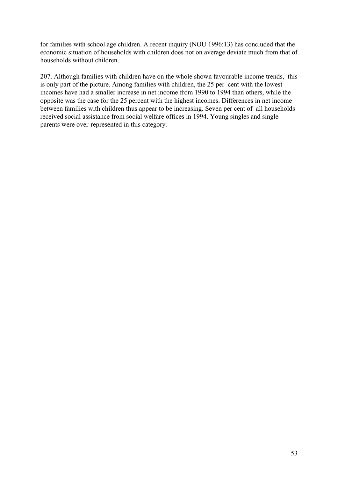for families with school age children. A recent inquiry (NOU 1996:13) has concluded that the economic situation of households with children does not on average deviate much from that of households without children.

207. Although families with children have on the whole shown favourable income trends, this is only part of the picture. Among families with children, the 25 per cent with the lowest incomes have had a smaller increase in net income from 1990 to 1994 than others, while the opposite was the case for the 25 percent with the highest incomes. Differences in net income between families with children thus appear to be increasing. Seven per cent of all households received social assistance from social welfare offices in 1994. Young singles and single parents were over-represented in this category.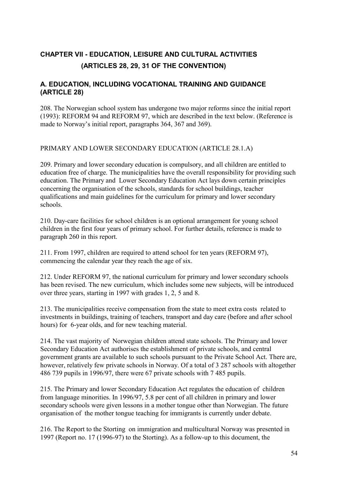# **CHAPTER VII - EDUCATION, LEISURE AND CULTURAL ACTIVITIES (ARTICLES 28, 29, 31 OF THE CONVENTION)**

## **A. EDUCATION, INCLUDING VOCATIONAL TRAINING AND GUIDANCE (ARTICLE 28)**

208. The Norwegian school system has undergone two major reforms since the initial report (1993): REFORM 94 and REFORM 97, which are described in the text below. (Reference is made to Norway's initial report, paragraphs 364, 367 and 369).

#### PRIMARY AND LOWER SECONDARY EDUCATION (ARTICLE 28.1.A)

209. Primary and lower secondary education is compulsory, and all children are entitled to education free of charge. The municipalities have the overall responsibility for providing such education. The Primary and Lower Secondary Education Act lays down certain principles concerning the organisation of the schools, standards for school buildings, teacher qualifications and main guidelines for the curriculum for primary and lower secondary schools.

210. Day-care facilities for school children is an optional arrangement for young school children in the first four years of primary school. For further details, reference is made to paragraph 260 in this report.

211. From 1997, children are required to attend school for ten years (REFORM 97), commencing the calendar year they reach the age of six.

212. Under REFORM 97, the national curriculum for primary and lower secondary schools has been revised. The new curriculum, which includes some new subjects, will be introduced over three years, starting in 1997 with grades 1, 2, 5 and 8.

213. The municipalities receive compensation from the state to meet extra costs related to investments in buildings, training of teachers, transport and day care (before and after school hours) for 6-year olds, and for new teaching material.

214. The vast majority of Norwegian children attend state schools. The Primary and lower Secondary Education Act authorises the establishment of private schools, and central government grants are available to such schools pursuant to the Private School Act. There are, however, relatively few private schools in Norway. Of a total of 3 287 schools with altogether 486 739 pupils in 1996/97, there were 67 private schools with 7 485 pupils.

215. The Primary and lower Secondary Education Act regulates the education of children from language minorities. In 1996/97, 5.8 per cent of all children in primary and lower secondary schools were given lessons in a mother tongue other than Norwegian. The future organisation of the mother tongue teaching for immigrants is currently under debate.

216. The Report to the Storting on immigration and multicultural Norway was presented in 1997 (Report no. 17 (1996-97) to the Storting). As a follow-up to this document, the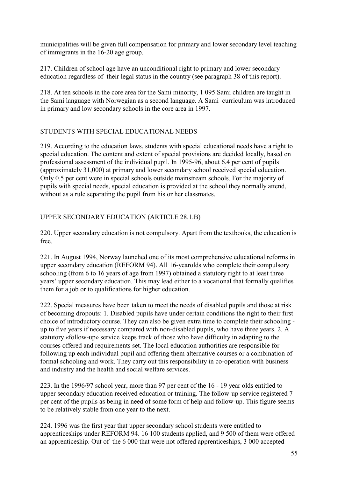municipalities will be given full compensation for primary and lower secondary level teaching of immigrants in the 16-20 age group.

217. Children of school age have an unconditional right to primary and lower secondary education regardless of their legal status in the country (see paragraph 38 of this report).

218. At ten schools in the core area for the Sami minority, 1 095 Sami children are taught in the Sami language with Norwegian as a second language. A Sami curriculum was introduced in primary and low secondary schools in the core area in 1997.

#### STUDENTS WITH SPECIAL EDUCATIONAL NEEDS

219. According to the education laws, students with special educational needs have a right to special education. The content and extent of special provisions are decided locally, based on professional assessment of the individual pupil. In 1995-96, about 6.4 per cent of pupils (approximately 31,000) at primary and lower secondary school received special education. Only 0.5 per cent were in special schools outside mainstream schools. For the majority of pupils with special needs, special education is provided at the school they normally attend, without as a rule separating the pupil from his or her classmates.

## UPPER SECONDARY EDUCATION (ARTICLE 28.1.B)

220. Upper secondary education is not compulsory. Apart from the textbooks, the education is free.

221. In August 1994, Norway launched one of its most comprehensive educational reforms in upper secondary education (REFORM 94). All 16-yearolds who complete their compulsory schooling (from 6 to 16 years of age from 1997) obtained a statutory right to at least three years' upper secondary education. This may lead either to a vocational that formally qualifies them for a job or to qualifications for higher education.

222. Special measures have been taken to meet the needs of disabled pupils and those at risk of becoming dropouts: 1. Disabled pupils have under certain conditions the right to their first choice of introductory course. They can also be given extra time to complete their schooling up to five years if necessary compared with non-disabled pupils, who have three years. 2. A statutory «follow-up» service keeps track of those who have difficulty in adapting to the courses offered and requirements set. The local education authorities are responsible for following up each individual pupil and offering them alternative courses or a combination of formal schooling and work. They carry out this responsibility in co-operation with business and industry and the health and social welfare services.

223. In the 1996/97 school year, more than 97 per cent of the 16 - 19 year olds entitled to upper secondary education received education or training. The follow-up service registered 7 per cent of the pupils as being in need of some form of help and follow-up. This figure seems to be relatively stable from one year to the next.

224. 1996 was the first year that upper secondary school students were entitled to apprenticeships under REFORM 94. 16 100 students applied, and 9 500 of them were offered an apprenticeship. Out of the 6 000 that were not offered apprenticeships, 3 000 accepted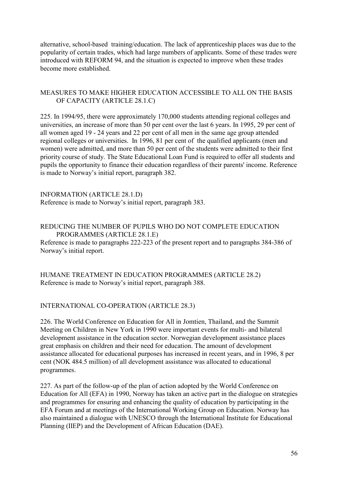alternative, school-based training/education. The lack of apprenticeship places was due to the popularity of certain trades, which had large numbers of applicants. Some of these trades were introduced with REFORM 94, and the situation is expected to improve when these trades become more established.

#### MEASURES TO MAKE HIGHER EDUCATION ACCESSIBLE TO ALL ON THE BASIS OF CAPACITY (ARTICLE 28.1.C)

225. In 1994/95, there were approximately 170,000 students attending regional colleges and universities, an increase of more than 50 per cent over the last 6 years. In 1995, 29 per cent of all women aged 19 - 24 years and 22 per cent of all men in the same age group attended regional colleges or universities. In 1996, 81 per cent of the qualified applicants (men and women) were admitted, and more than 50 per cent of the students were admitted to their first priority course of study. The State Educational Loan Fund is required to offer all students and pupils the opportunity to finance their education regardless of their parents' income. Reference is made to Norway's initial report, paragraph 382.

INFORMATION (ARTICLE 28.1.D) Reference is made to Norway's initial report, paragraph 383.

#### REDUCING THE NUMBER OF PUPILS WHO DO NOT COMPLETE EDUCATION PROGRAMMES (ARTICLE 28.1.E)

Reference is made to paragraphs 222-223 of the present report and to paragraphs 384-386 of Norway's initial report.

HUMANE TREATMENT IN EDUCATION PROGRAMMES (ARTICLE 28.2) Reference is made to Norway's initial report, paragraph 388.

#### INTERNATIONAL CO-OPERATION (ARTICLE 28.3)

226. The World Conference on Education for All in Jomtien, Thailand, and the Summit Meeting on Children in New York in 1990 were important events for multi- and bilateral development assistance in the education sector. Norwegian development assistance places great emphasis on children and their need for education. The amount of development assistance allocated for educational purposes has increased in recent years, and in 1996, 8 per cent (NOK 484.5 million) of all development assistance was allocated to educational programmes.

227. As part of the follow-up of the plan of action adopted by the World Conference on Education for All (EFA) in 1990, Norway has taken an active part in the dialogue on strategies and programmes for ensuring and enhancing the quality of education by participating in the EFA Forum and at meetings of the International Working Group on Education. Norway has also maintained a dialogue with UNESCO through the International Institute for Educational Planning (IIEP) and the Development of African Education (DAE).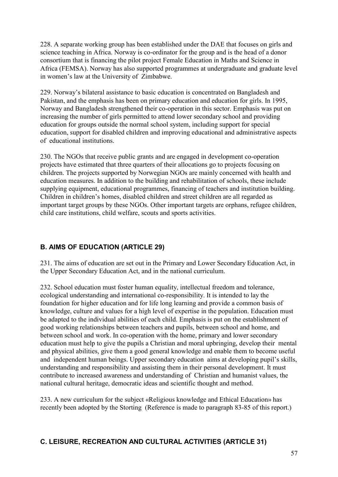228. A separate working group has been established under the DAE that focuses on girls and science teaching in Africa. Norway is co-ordinator for the group and is the head of a donor consortium that is financing the pilot project Female Education in Maths and Science in Africa (FEMSA). Norway has also supported programmes at undergraduate and graduate level in women's law at the University of Zimbabwe.

229. Norway's bilateral assistance to basic education is concentrated on Bangladesh and Pakistan, and the emphasis has been on primary education and education for girls. In 1995, Norway and Bangladesh strengthened their co-operation in this sector. Emphasis was put on increasing the number of girls permitted to attend lower secondary school and providing education for groups outside the normal school system, including support for special education, support for disabled children and improving educational and administrative aspects of educational institutions.

230. The NGOs that receive public grants and are engaged in development co-operation projects have estimated that three quarters of their allocations go to projects focusing on children. The projects supported by Norwegian NGOs are mainly concerned with health and education measures. In addition to the building and rehabilitation of schools, these include supplying equipment, educational programmes, financing of teachers and institution building. Children in children's homes, disabled children and street children are all regarded as important target groups by these NGOs. Other important targets are orphans, refugee children, child care institutions, child welfare, scouts and sports activities.

## **B. AIMS OF EDUCATION (ARTICLE 29)**

231. The aims of education are set out in the Primary and Lower Secondary Education Act, in the Upper Secondary Education Act, and in the national curriculum.

232. School education must foster human equality, intellectual freedom and tolerance, ecological understanding and international co-responsibility. It is intended to lay the foundation for higher education and for life long learning and provide a common basis of knowledge, culture and values for a high level of expertise in the population. Education must be adapted to the individual abilities of each child. Emphasis is put on the establishment of good working relationships between teachers and pupils, between school and home, and between school and work. In co-operation with the home, primary and lower secondary education must help to give the pupils a Christian and moral upbringing, develop their mental and physical abilities, give them a good general knowledge and enable them to become useful and independent human beings. Upper secondary education aims at developing pupil's skills, understanding and responsibility and assisting them in their personal development. It must contribute to increased awareness and understanding of Christian and humanist values, the national cultural heritage, democratic ideas and scientific thought and method.

233. A new curriculum for the subject «Religious knowledge and Ethical Education» has recently been adopted by the Storting (Reference is made to paragraph 83-85 of this report.)

## **C. LEISURE, RECREATION AND CULTURAL ACTIVITIES (ARTICLE 31)**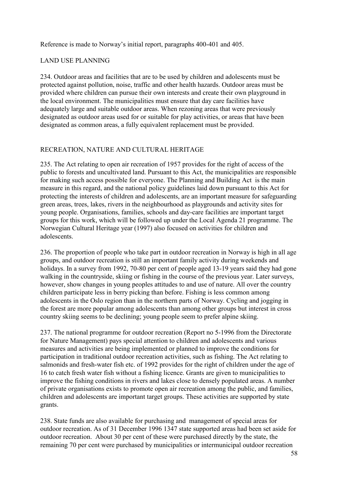Reference is made to Norway's initial report, paragraphs 400-401 and 405.

#### LAND USE PLANNING

234. Outdoor areas and facilities that are to be used by children and adolescents must be protected against pollution, noise, traffic and other health hazards. Outdoor areas must be provided where children can pursue their own interests and create their own playground in the local environment. The municipalities must ensure that day care facilities have adequately large and suitable outdoor areas. When rezoning areas that were previously designated as outdoor areas used for or suitable for play activities, or areas that have been designated as common areas, a fully equivalent replacement must be provided.

#### RECREATION, NATURE AND CULTURAL HERITAGE

235. The Act relating to open air recreation of 1957 provides for the right of access of the public to forests and uncultivated land. Pursuant to this Act, the municipalities are responsible for making such access possible for everyone. The Planning and Building Act is the main measure in this regard, and the national policy guidelines laid down pursuant to this Act for protecting the interests of children and adolescents, are an important measure for safeguarding green areas, trees, lakes, rivers in the neighbourhood as playgrounds and activity sites for young people. Organisations, families, schools and day-care facilities are important target groups for this work, which will be followed up under the Local Agenda 21 programme. The Norwegian Cultural Heritage year (1997) also focused on activities for children and adolescents.

236. The proportion of people who take part in outdoor recreation in Norway is high in all age groups, and outdoor recreation is still an important family activity during weekends and holidays. In a survey from 1992, 70-80 per cent of people aged 13-19 years said they had gone walking in the countryside, skiing or fishing in the course of the previous year. Later surveys, however, show changes in young peoples attitudes to and use of nature. All over the country children participate less in berry picking than before. Fishing is less common among adolescents in the Oslo region than in the northern parts of Norway. Cycling and jogging in the forest are more popular among adolescents than among other groups but interest in cross country skiing seems to be declining; young people seem to prefer alpine skiing.

237. The national programme for outdoor recreation (Report no 5-1996 from the Directorate for Nature Management) pays special attention to children and adolescents and various measures and activities are being implemented or planned to improve the conditions for participation in traditional outdoor recreation activities, such as fishing. The Act relating to salmonids and fresh-water fish etc. of 1992 provides for the right of children under the age of 16 to catch fresh water fish without a fishing licence. Grants are given to municipalities to improve the fishing conditions in rivers and lakes close to densely populated areas. A number of private organisations exists to promote open air recreation among the public, and families, children and adolescents are important target groups. These activities are supported by state grants.

238. State funds are also available for purchasing and management of special areas for outdoor recreation. As of 31 December 1996 1347 state supported areas had been set aside for outdoor recreation. About 30 per cent of these were purchased directly by the state, the remaining 70 per cent were purchased by municipalities or intermunicipal outdoor recreation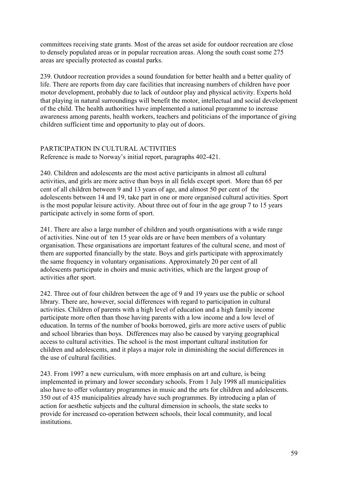committees receiving state grants. Most of the areas set aside for outdoor recreation are close to densely populated areas or in popular recreation areas. Along the south coast some 275 areas are specially protected as coastal parks.

239. Outdoor recreation provides a sound foundation for better health and a better quality of life. There are reports from day care facilities that increasing numbers of children have poor motor development, probably due to lack of outdoor play and physical activity. Experts hold that playing in natural surroundings will benefit the motor, intellectual and social development of the child. The health authorities have implemented a national programme to increase awareness among parents, health workers, teachers and politicians of the importance of giving children sufficient time and opportunity to play out of doors.

#### PARTICIPATION IN CULTURAL ACTIVITIES

Reference is made to Norway's initial report, paragraphs 402-421.

240. Children and adolescents are the most active participants in almost all cultural activities, and girls are more active than boys in all fields except sport. More than 65 per cent of all children between 9 and 13 years of age, and almost 50 per cent of the adolescents between 14 and 19, take part in one or more organised cultural activities. Sport is the most popular leisure activity. About three out of four in the age group 7 to 15 years participate actively in some form of sport.

241. There are also a large number of children and youth organisations with a wide range of activities. Nine out of ten 15 year olds are or have been members of a voluntary organisation. These organisations are important features of the cultural scene, and most of them are supported financially by the state. Boys and girls participate with approximately the same frequency in voluntary organisations. Approximately 20 per cent of all adolescents participate in choirs and music activities, which are the largest group of activities after sport.

242. Three out of four children between the age of 9 and 19 years use the public or school library. There are, however, social differences with regard to participation in cultural activities. Children of parents with a high level of education and a high family income participate more often than those having parents with a low income and a low level of education. In terms of the number of books borrowed, girls are more active users of public and school libraries than boys. Differences may also be caused by varying geographical access to cultural activities. The school is the most important cultural institution for children and adolescents, and it plays a major role in diminishing the social differences in the use of cultural facilities.

243. From 1997 a new curriculum, with more emphasis on art and culture, is being implemented in primary and lower secondary schools. From 1 July 1998 all municipalities also have to offer voluntary programmes in music and the arts for children and adolescents. 350 out of 435 municipalities already have such programmes. By introducing a plan of action for aesthetic subjects and the cultural dimension in schools, the state seeks to provide for increased co-operation between schools, their local community, and local institutions.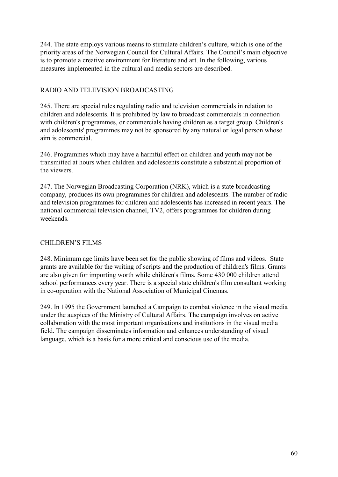244. The state employs various means to stimulate children's culture, which is one of the priority areas of the Norwegian Council for Cultural Affairs. The Council's main objective is to promote a creative environment for literature and art. In the following, various measures implemented in the cultural and media sectors are described.

#### RADIO AND TELEVISION BROADCASTING

245. There are special rules regulating radio and television commercials in relation to children and adolescents. It is prohibited by law to broadcast commercials in connection with children's programmes, or commercials having children as a target group. Children's and adolescents' programmes may not be sponsored by any natural or legal person whose aim is commercial.

246. Programmes which may have a harmful effect on children and youth may not be transmitted at hours when children and adolescents constitute a substantial proportion of the viewers.

247. The Norwegian Broadcasting Corporation (NRK), which is a state broadcasting company, produces its own programmes for children and adolescents. The number of radio and television programmes for children and adolescents has increased in recent years. The national commercial television channel, TV2, offers programmes for children during weekends.

## CHILDREN'S FILMS

248. Minimum age limits have been set for the public showing of films and videos. State grants are available for the writing of scripts and the production of children's films. Grants are also given for importing worth while children's films. Some 430 000 children attend school performances every year. There is a special state children's film consultant working in co-operation with the National Association of Municipal Cinemas.

249. In 1995 the Government launched a Campaign to combat violence in the visual media under the auspices of the Ministry of Cultural Affairs. The campaign involves on active collaboration with the most important organisations and institutions in the visual media field. The campaign disseminates information and enhances understanding of visual language, which is a basis for a more critical and conscious use of the media.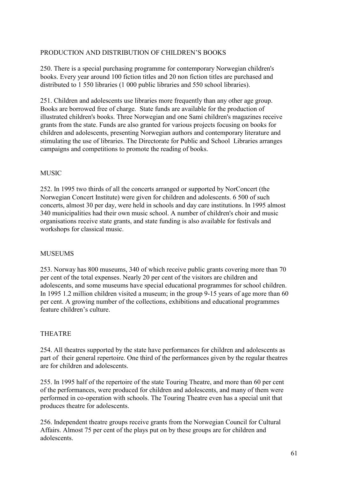#### PRODUCTION AND DISTRIBUTION OF CHILDREN'S BOOKS

250. There is a special purchasing programme for contemporary Norwegian children's books. Every year around 100 fiction titles and 20 non fiction titles are purchased and distributed to 1 550 libraries (1 000 public libraries and 550 school libraries).

251. Children and adolescents use libraries more frequently than any other age group. Books are borrowed free of charge. State funds are available for the production of illustrated children's books. Three Norwegian and one Sami children's magazines receive grants from the state. Funds are also granted for various projects focusing on books for children and adolescents, presenting Norwegian authors and contemporary literature and stimulating the use of libraries. The Directorate for Public and School Libraries arranges campaigns and competitions to promote the reading of books.

#### **MUSIC**

252. In 1995 two thirds of all the concerts arranged or supported by NorConcert (the Norwegian Concert Institute) were given for children and adolescents. 6 500 of such concerts, almost 30 per day, were held in schools and day care institutions. In 1995 almost 340 municipalities had their own music school. A number of children's choir and music organisations receive state grants, and state funding is also available for festivals and workshops for classical music.

## **MUSEUMS**

253. Norway has 800 museums, 340 of which receive public grants covering more than 70 per cent of the total expenses. Nearly 20 per cent of the visitors are children and adolescents, and some museums have special educational programmes for school children. In 1995 1.2 million children visited a museum; in the group 9-15 years of age more than 60 per cent. A growing number of the collections, exhibitions and educational programmes feature children's culture.

## THEATRE

254. All theatres supported by the state have performances for children and adolescents as part of their general repertoire. One third of the performances given by the regular theatres are for children and adolescents.

255. In 1995 half of the repertoire of the state Touring Theatre, and more than 60 per cent of the performances, were produced for children and adolescents, and many of them were performed in co-operation with schools. The Touring Theatre even has a special unit that produces theatre for adolescents.

256. Independent theatre groups receive grants from the Norwegian Council for Cultural Affairs. Almost 75 per cent of the plays put on by these groups are for children and adolescents.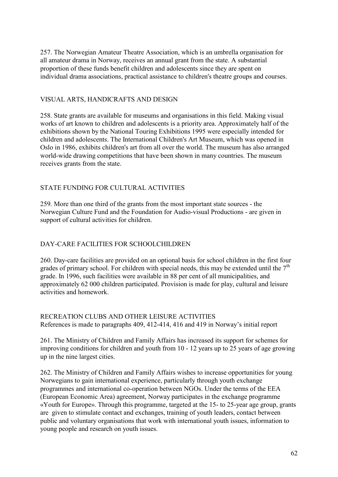257. The Norwegian Amateur Theatre Association, which is an umbrella organisation for all amateur drama in Norway, receives an annual grant from the state. A substantial proportion of these funds benefit children and adolescents since they are spent on individual drama associations, practical assistance to children's theatre groups and courses.

#### VISUAL ARTS, HANDICRAFTS AND DESIGN

258. State grants are available for museums and organisations in this field. Making visual works of art known to children and adolescents is a priority area. Approximately half of the exhibitions shown by the National Touring Exhibitions 1995 were especially intended for children and adolescents. The International Children's Art Museum, which was opened in Oslo in 1986, exhibits children's art from all over the world. The museum has also arranged world-wide drawing competitions that have been shown in many countries. The museum receives grants from the state.

#### STATE FUNDING FOR CULTURAL ACTIVITIES

259. More than one third of the grants from the most important state sources - the Norwegian Culture Fund and the Foundation for Audio-visual Productions - are given in support of cultural activities for children.

## DAY-CARE FACILITIES FOR SCHOOLCHILDREN

260. Day-care facilities are provided on an optional basis for school children in the first four grades of primary school. For children with special needs, this may be extended until the  $7<sup>th</sup>$ grade. In 1996, such facilities were available in 88 per cent of all municipalities, and approximately 62 000 children participated. Provision is made for play, cultural and leisure activities and homework.

RECREATION CLUBS AND OTHER LEISURE ACTIVITIES References is made to paragraphs 409, 412-414, 416 and 419 in Norway's initial report

261. The Ministry of Children and Family Affairs has increased its support for schemes for improving conditions for children and youth from 10 - 12 years up to 25 years of age growing up in the nine largest cities.

262. The Ministry of Children and Family Affairs wishes to increase opportunities for young Norwegians to gain international experience, particularly through youth exchange programmes and international co-operation between NGOs. Under the terms of the EEA (European Economic Area) agreement, Norway participates in the exchange programme «Youth for Europe». Through this programme, targeted at the 15- to 25-year age group, grants are given to stimulate contact and exchanges, training of youth leaders, contact between public and voluntary organisations that work with international youth issues, information to young people and research on youth issues.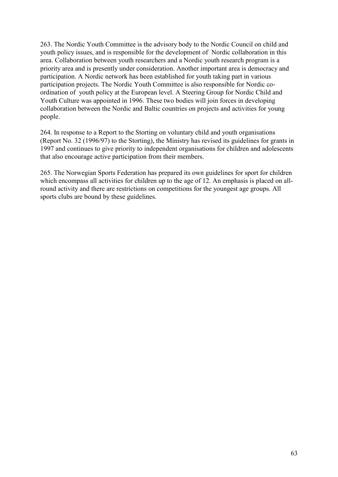263. The Nordic Youth Committee is the advisory body to the Nordic Council on child and youth policy issues, and is responsible for the development of Nordic collaboration in this area. Collaboration between youth researchers and a Nordic youth research program is a priority area and is presently under consideration. Another important area is democracy and participation. A Nordic network has been established for youth taking part in various participation projects. The Nordic Youth Committee is also responsible for Nordic coordination of youth policy at the European level. A Steering Group for Nordic Child and Youth Culture was appointed in 1996. These two bodies will join forces in developing collaboration between the Nordic and Baltic countries on projects and activities for young people.

264. In response to a Report to the Storting on voluntary child and youth organisations (Report No. 32 (1996/97) to the Storting), the Ministry has revised its guidelines for grants in 1997 and continues to give priority to independent organisations for children and adolescents that also encourage active participation from their members.

265. The Norwegian Sports Federation has prepared its own guidelines for sport for children which encompass all activities for children up to the age of 12. An emphasis is placed on allround activity and there are restrictions on competitions for the youngest age groups. All sports clubs are bound by these guidelines.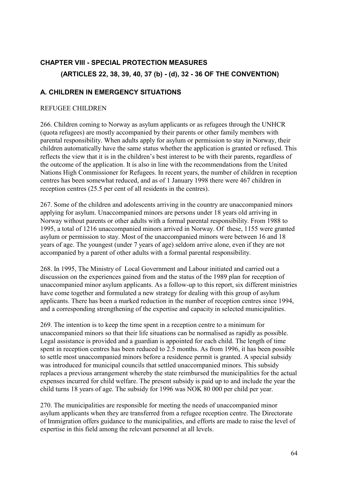# **CHAPTER VIII - SPECIAL PROTECTION MEASURES (ARTICLES 22, 38, 39, 40, 37 (b) - (d), 32 - 36 OF THE CONVENTION)**

## **A. CHILDREN IN EMERGENCY SITUATIONS**

#### REFUGEE CHILDREN

266. Children coming to Norway as asylum applicants or as refugees through the UNHCR (quota refugees) are mostly accompanied by their parents or other family members with parental responsibility. When adults apply for asylum or permission to stay in Norway, their children automatically have the same status whether the application is granted or refused. This reflects the view that it is in the children's best interest to be with their parents, regardless of the outcome of the application. It is also in line with the recommendations from the United Nations High Commissioner for Refugees. In recent years, the number of children in reception centres has been somewhat reduced, and as of 1 January 1998 there were 467 children in reception centres (25.5 per cent of all residents in the centres).

267. Some of the children and adolescents arriving in the country are unaccompanied minors applying for asylum. Unaccompanied minors are persons under 18 years old arriving in Norway without parents or other adults with a formal parental responsibility. From 1988 to 1995, a total of 1216 unaccompanied minors arrived in Norway. Of these, 1155 were granted asylum or permission to stay. Most of the unaccompanied minors were between 16 and 18 years of age. The youngest (under 7 years of age) seldom arrive alone, even if they are not accompanied by a parent of other adults with a formal parental responsibility.

268. In 1995, The Ministry of Local Government and Labour initiated and carried out a discussion on the experiences gained from and the status of the 1989 plan for reception of unaccompanied minor asylum applicants. As a follow-up to this report, six different ministries have come together and formulated a new strategy for dealing with this group of asylum applicants. There has been a marked reduction in the number of reception centres since 1994, and a corresponding strengthening of the expertise and capacity in selected municipalities.

269. The intention is to keep the time spent in a reception centre to a minimum for unaccompanied minors so that their life situations can be normalised as rapidly as possible. Legal assistance is provided and a guardian is appointed for each child. The length of time spent in reception centres has been reduced to 2.5 months. As from 1996, it has been possible to settle most unaccompanied minors before a residence permit is granted. A special subsidy was introduced for municipal councils that settled unaccompanied minors. This subsidy replaces a previous arrangement whereby the state reimbursed the municipalities for the actual expenses incurred for child welfare. The present subsidy is paid up to and include the year the child turns 18 years of age. The subsidy for 1996 was NOK 80 000 per child per year.

270. The municipalities are responsible for meeting the needs of unaccompanied minor asylum applicants when they are transferred from a refugee reception centre. The Directorate of Immigration offers guidance to the municipalities, and efforts are made to raise the level of expertise in this field among the relevant personnel at all levels.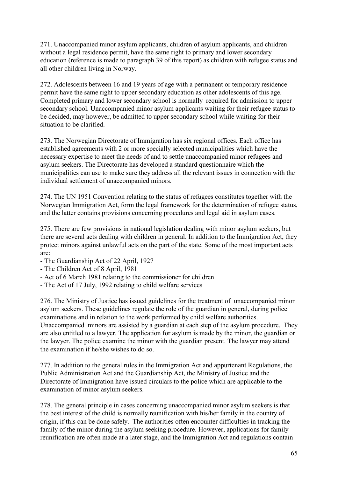271. Unaccompanied minor asylum applicants, children of asylum applicants, and children without a legal residence permit, have the same right to primary and lower secondary education (reference is made to paragraph 39 of this report) as children with refugee status and all other children living in Norway.

272. Adolescents between 16 and 19 years of age with a permanent or temporary residence permit have the same right to upper secondary education as other adolescents of this age. Completed primary and lower secondary school is normally required for admission to upper secondary school. Unaccompanied minor asylum applicants waiting for their refugee status to be decided, may however, be admitted to upper secondary school while waiting for their situation to be clarified.

273. The Norwegian Directorate of Immigration has six regional offices. Each office has established agreements with 2 or more specially selected municipalities which have the necessary expertise to meet the needs of and to settle unaccompanied minor refugees and asylum seekers. The Directorate has developed a standard questionnaire which the municipalities can use to make sure they address all the relevant issues in connection with the individual settlement of unaccompanied minors.

274. The UN 1951 Convention relating to the status of refugees constitutes together with the Norwegian Immigration Act, form the legal framework for the determination of refugee status, and the latter contains provisions concerning procedures and legal aid in asylum cases.

275. There are few provisions in national legislation dealing with minor asylum seekers, but there are several acts dealing with children in general. In addition to the Immigration Act, they protect minors against unlawful acts on the part of the state. Some of the most important acts are:

- The Guardianship Act of 22 April, 1927
- The Children Act of 8 April, 1981
- Act of 6 March 1981 relating to the commissioner for children
- The Act of 17 July, 1992 relating to child welfare services

276. The Ministry of Justice has issued guidelines for the treatment of unaccompanied minor asylum seekers. These guidelines regulate the role of the guardian in general, during police examinations and in relation to the work performed by child welfare authorities. Unaccompanied minors are assisted by a guardian at each step of the asylum procedure. They are also entitled to a lawyer. The application for asylum is made by the minor, the guardian or the lawyer. The police examine the minor with the guardian present. The lawyer may attend the examination if he/she wishes to do so.

277. In addition to the general rules in the Immigration Act and appurtenant Regulations, the Public Administration Act and the Guardianship Act, the Ministry of Justice and the Directorate of Immigration have issued circulars to the police which are applicable to the examination of minor asylum seekers.

278. The general principle in cases concerning unaccompanied minor asylum seekers is that the best interest of the child is normally reunification with his/her family in the country of origin, if this can be done safely. The authorities often encounter difficulties in tracking the family of the minor during the asylum seeking procedure. However, applications for family reunification are often made at a later stage, and the Immigration Act and regulations contain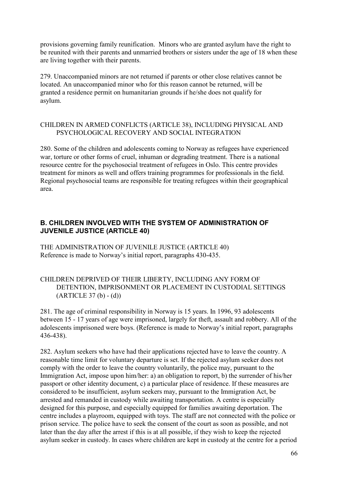provisions governing family reunification. Minors who are granted asylum have the right to be reunited with their parents and unmarried brothers or sisters under the age of 18 when these are living together with their parents.

279. Unaccompanied minors are not returned if parents or other close relatives cannot be located. An unaccompanied minor who for this reason cannot be returned, will be granted a residence permit on humanitarian grounds if he/she does not qualify for asylum.

#### CHILDREN IN ARMED CONFLICTS (ARTICLE 38), INCLUDING PHYSICAL AND PSYCHOLOGICAL RECOVERY AND SOCIAL INTEGRATION

280. Some of the children and adolescents coming to Norway as refugees have experienced war, torture or other forms of cruel, inhuman or degrading treatment. There is a national resource centre for the psychosocial treatment of refugees in Oslo. This centre provides treatment for minors as well and offers training programmes for professionals in the field. Regional psychosocial teams are responsible for treating refugees within their geographical area.

#### **B. CHILDREN INVOLVED WITH THE SYSTEM OF ADMINISTRATION OF JUVENILE JUSTICE (ARTICLE 40)**

THE ADMINISTRATION OF JUVENILE JUSTICE (ARTICLE 40) Reference is made to Norway's initial report, paragraphs 430-435.

#### CHILDREN DEPRIVED OF THEIR LIBERTY, INCLUDING ANY FORM OF DETENTION, IMPRISONMENT OR PLACEMENT IN CUSTODIAL SETTINGS  $(ARTICLE 37 (b) - (d))$

281. The age of criminal responsibility in Norway is 15 years. In 1996, 93 adolescents between 15 - 17 years of age were imprisoned, largely for theft, assault and robbery. All of the adolescents imprisoned were boys. (Reference is made to Norway's initial report, paragraphs 436-438).

282. Asylum seekers who have had their applications rejected have to leave the country. A reasonable time limit for voluntary departure is set. If the rejected asylum seeker does not comply with the order to leave the country voluntarily, the police may, pursuant to the Immigration Act, impose upon him/her: a) an obligation to report, b) the surrender of his/her passport or other identity document, c) a particular place of residence. If these measures are considered to be insufficient, asylum seekers may, pursuant to the Immigration Act, be arrested and remanded in custody while awaiting transportation. A centre is especially designed for this purpose, and especially equipped for families awaiting deportation. The centre includes a playroom, equipped with toys. The staff are not connected with the police or prison service. The police have to seek the consent of the court as soon as possible, and not later than the day after the arrest if this is at all possible, if they wish to keep the rejected asylum seeker in custody. In cases where children are kept in custody at the centre for a period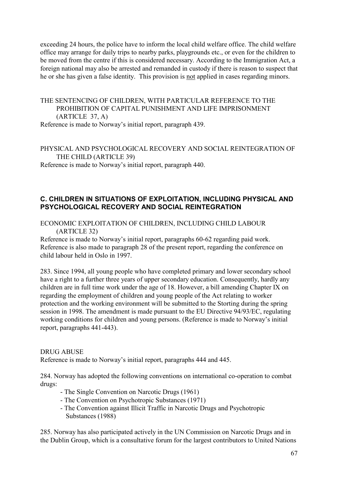exceeding 24 hours, the police have to inform the local child welfare office. The child welfare office may arrange for daily trips to nearby parks, playgrounds etc., or even for the children to be moved from the centre if this is considered necessary. According to the Immigration Act, a foreign national may also be arrested and remanded in custody if there is reason to suspect that he or she has given a false identity. This provision is not applied in cases regarding minors.

# THE SENTENCING OF CHILDREN, WITH PARTICULAR REFERENCE TO THE PROHIBITION OF CAPITAL PUNISHMENT AND LIFE IMPRISONMENT (ARTICLE 37, A)

Reference is made to Norway's initial report, paragraph 439.

# PHYSICAL AND PSYCHOLOGICAL RECOVERY AND SOCIAL REINTEGRATION OF THE CHILD (ARTICLE 39)

Reference is made to Norway's initial report, paragraph 440.

## **C. CHILDREN IN SITUATIONS OF EXPLOITATION, INCLUDING PHYSICAL AND PSYCHOLOGICAL RECOVERY AND SOCIAL REINTEGRATION**

ECONOMIC EXPLOITATION OF CHILDREN, INCLUDING CHILD LABOUR (ARTICLE 32)

Reference is made to Norway's initial report, paragraphs 60-62 regarding paid work. Reference is also made to paragraph 28 of the present report, regarding the conference on child labour held in Oslo in 1997.

283. Since 1994, all young people who have completed primary and lower secondary school have a right to a further three years of upper secondary education. Consequently, hardly any children are in full time work under the age of 18. However, a bill amending Chapter IX on regarding the employment of children and young people of the Act relating to worker protection and the working environment will be submitted to the Storting during the spring session in 1998. The amendment is made pursuant to the EU Directive 94/93/EC, regulating working conditions for children and young persons. (Reference is made to Norway's initial report, paragraphs 441-443).

#### DRUG ABUSE

Reference is made to Norway's initial report, paragraphs 444 and 445.

284. Norway has adopted the following conventions on international co-operation to combat drugs:

- The Single Convention on Narcotic Drugs (1961)
- The Convention on Psychotropic Substances (1971)
- The Convention against Illicit Traffic in Narcotic Drugs and Psychotropic Substances (1988)

285. Norway has also participated actively in the UN Commission on Narcotic Drugs and in the Dublin Group, which is a consultative forum for the largest contributors to United Nations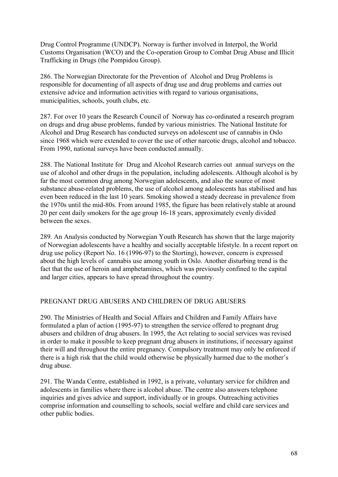Drug Control Programme (UNDCP). Norway is further involved in Interpol, the World Customs Organisation (WCO) and the Co-operation Group to Combat Drug Abuse and Illicit Trafficking in Drugs (the Pompidou Group).

286. The Norwegian Directorate for the Prevention of Alcohol and Drug Problems is responsible for documenting of all aspects of drug use and drug problems and carries out extensive advice and information activities with regard to various organisations, municipalities, schools, youth clubs, etc.

287. For over 10 years the Research Council of Norway has co-ordinated a research program on drugs and drug abuse problems, funded by various ministries. The National Institute for Alcohol and Drug Research has conducted surveys on adolescent use of cannabis in Oslo since 1968 which were extended to cover the use of other narcotic drugs, alcohol and tobacco. From 1990, national surveys have been conducted annually.

288. The National Institute for Drug and Alcohol Research carries out annual surveys on the use of alcohol and other drugs in the population, including adolescents. Although alcohol is by far the most common drug among Norwegian adolescents, and also the source of most substance abuse-related problems, the use of alcohol among adolescents has stabilised and has even been reduced in the last 10 years. Smoking showed a steady decrease in prevalence from the 1970s until the mid-80s. From around 1985, the figure has been relatively stable at around 20 per cent daily smokers for the age group 16-18 years, approximately evenly divided between the sexes.

289. An Analysis conducted by Norwegian Youth Research has shown that the large majority of Norwegian adolescents have a healthy and socially acceptable lifestyle. In a recent report on drug use policy (Report No. 16 (1996-97) to the Storting), however, concern is expressed about the high levels of cannabis use among youth in Oslo. Another disturbing trend is the fact that the use of heroin and amphetamines, which was previously confined to the capital and larger cities, appears to have spread throughout the country.

#### PREGNANT DRUG ABUSERS AND CHILDREN OF DRUG ABUSERS

290. The Ministries of Health and Social Affairs and Children and Family Affairs have formulated a plan of action (1995-97) to strengthen the service offered to pregnant drug abusers and children of drug abusers. In 1995, the Act relating to social services was revised in order to make it possible to keep pregnant drug abusers in institutions, if necessary against their will and throughout the entire pregnancy. Compulsory treatment may only be enforced if there is a high risk that the child would otherwise be physically harmed due to the mother's drug abuse.

291. The Wanda Centre, established in 1992, is a private, voluntary service for children and adolescents in families where there is alcohol abuse. The centre also answers telephone inquiries and gives advice and support, individually or in groups. Outreaching activities comprise information and counselling to schools, social welfare and child care services and other public bodies.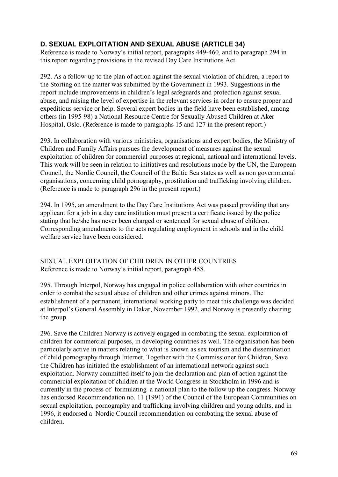## **D. SEXUAL EXPLOITATION AND SEXUAL ABUSE (ARTICLE 34)**

Reference is made to Norway's initial report, paragraphs 449-460, and to paragraph 294 in this report regarding provisions in the revised Day Care Institutions Act.

292. As a follow-up to the plan of action against the sexual violation of children, a report to the Storting on the matter was submitted by the Government in 1993. Suggestions in the report include improvements in children's legal safeguards and protection against sexual abuse, and raising the level of expertise in the relevant services in order to ensure proper and expeditious service or help. Several expert bodies in the field have been established, among others (in 1995-98) a National Resource Centre for Sexually Abused Children at Aker Hospital, Oslo. (Reference is made to paragraphs 15 and 127 in the present report.)

293. In collaboration with various ministries, organisations and expert bodies, the Ministry of Children and Family Affairs pursues the development of measures against the sexual exploitation of children for commercial purposes at regional, national and international levels. This work will be seen in relation to initiatives and resolutions made by the UN, the European Council, the Nordic Council, the Council of the Baltic Sea states as well as non governmental organisations, concerning child pornography, prostitution and trafficking involving children. (Reference is made to paragraph 296 in the present report.)

294. In 1995, an amendment to the Day Care Institutions Act was passed providing that any applicant for a job in a day care institution must present a certificate issued by the police stating that he/she has never been charged or sentenced for sexual abuse of children. Corresponding amendments to the acts regulating employment in schools and in the child welfare service have been considered.

SEXUAL EXPLOITATION OF CHILDREN IN OTHER COUNTRIES Reference is made to Norway's initial report, paragraph 458.

295. Through Interpol, Norway has engaged in police collaboration with other countries in order to combat the sexual abuse of children and other crimes against minors. The establishment of a permanent, international working party to meet this challenge was decided at Interpol's General Assembly in Dakar, November 1992, and Norway is presently chairing the group.

296. Save the Children Norway is actively engaged in combating the sexual exploitation of children for commercial purposes, in developing countries as well. The organisation has been particularly active in matters relating to what is known as sex tourism and the dissemination of child pornography through Internet. Together with the Commissioner for Children, Save the Children has initiated the establishment of an international network against such exploitation. Norway committed itself to join the declaration and plan of action against the commercial exploitation of children at the World Congress in Stockholm in 1996 and is currently in the process of formulating a national plan to the follow up the congress. Norway has endorsed Recommendation no. 11 (1991) of the Council of the European Communities on sexual exploitation, pornography and trafficking involving children and young adults, and in 1996, it endorsed a Nordic Council recommendation on combating the sexual abuse of children.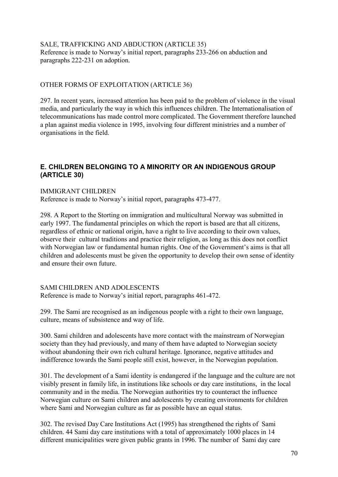#### SALE, TRAFFICKING AND ABDUCTION (ARTICLE 35) Reference is made to Norway's initial report, paragraphs 233-266 on abduction and paragraphs 222-231 on adoption.

#### OTHER FORMS OF EXPLOITATION (ARTICLE 36)

297. In recent years, increased attention has been paid to the problem of violence in the visual media, and particularly the way in which this influences children. The Internationalisation of telecommunications has made control more complicated. The Government therefore launched a plan against media violence in 1995, involving four different ministries and a number of organisations in the field.

## **E. CHILDREN BELONGING TO A MINORITY OR AN INDIGENOUS GROUP (ARTICLE 30)**

#### IMMIGRANT CHILDREN

Reference is made to Norway's initial report, paragraphs 473-477.

298. A Report to the Storting on immigration and multicultural Norway was submitted in early 1997. The fundamental principles on which the report is based are that all citizens, regardless of ethnic or national origin, have a right to live according to their own values, observe their cultural traditions and practice their religion, as long as this does not conflict with Norwegian law or fundamental human rights. One of the Government's aims is that all children and adolescents must be given the opportunity to develop their own sense of identity and ensure their own future.

#### SAMI CHILDREN AND ADOLESCENTS

Reference is made to Norway's initial report, paragraphs 461-472.

299. The Sami are recognised as an indigenous people with a right to their own language, culture, means of subsistence and way of life.

300. Sami children and adolescents have more contact with the mainstream of Norwegian society than they had previously, and many of them have adapted to Norwegian society without abandoning their own rich cultural heritage. Ignorance, negative attitudes and indifference towards the Sami people still exist, however, in the Norwegian population.

301. The development of a Sami identity is endangered if the language and the culture are not visibly present in family life, in institutions like schools or day care institutions, in the local community and in the media. The Norwegian authorities try to counteract the influence Norwegian culture on Sami children and adolescents by creating environments for children where Sami and Norwegian culture as far as possible have an equal status.

302. The revised Day Care Institutions Act (1995) has strengthened the rights of Sami children. 44 Sami day care institutions with a total of approximately 1000 places in 14 different municipalities were given public grants in 1996. The number of Sami day care